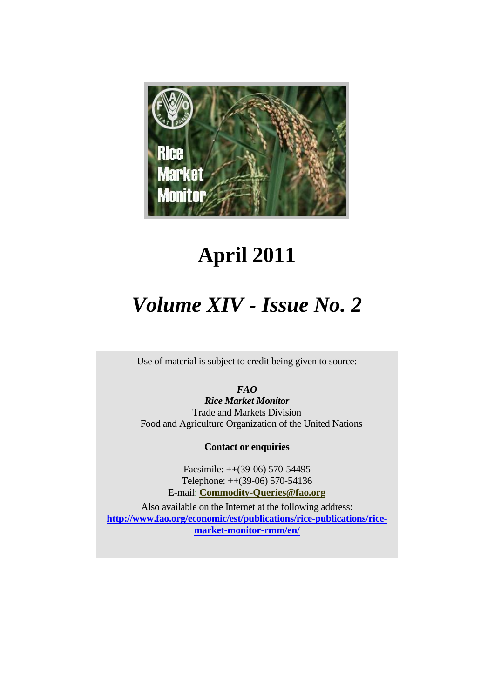

# **April 2011**

# *Volume XIV - Issue No. 2*

Use of material is subject to credit being given to source:

*FAO* 

*Rice Market Monitor* Trade and Markets Division Food and Agriculture Organization of the United Nations

**Contact or enquiries**

Facsimile: ++(39-06) 570-54495 Telephone: ++(39-06) 570-54136 E-mail: **[Commodity-Queries@fao.org](mailto:Commodity-Queries@fao.org)**

<span id="page-0-0"></span>Also available on the Internet at the following address: **[http://www.fao.org/economic/est/publications/rice-publications/rice](http://www.fao.org/economic/est/publications/rice-publications/rice-market-monitor-rmm/en/)[market-monitor-rmm/en/](http://www.fao.org/economic/est/publications/rice-publications/rice-market-monitor-rmm/en/)**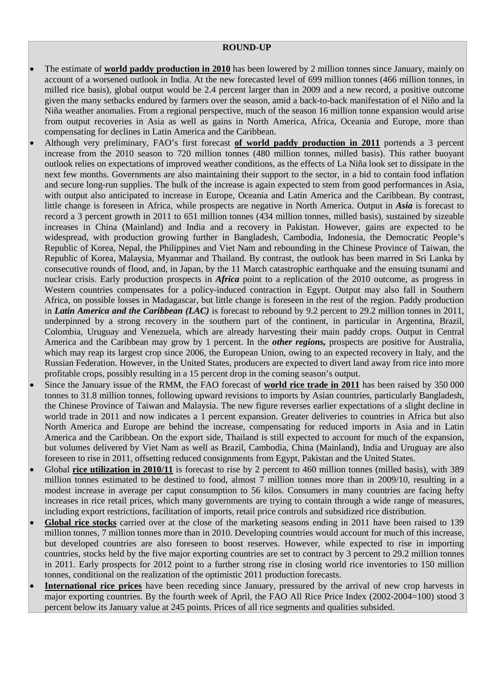#### **ROUND-UP**

- The estimate of **world paddy production in 2010** has been lowered by 2 million tonnes since January, mainly on account of a worsened outlook in India. At the new forecasted level of 699 million tonnes (466 million tonnes, in milled rice basis), global output would be 2.4 percent larger than in 2009 and a new record, a positive outcome given the many setbacks endured by farmers over the season, amid a back-to-back manifestation of el Niño and la Niña weather anomalies. From a regional perspective, much of the season 16 million tonne expansion would arise from output recoveries in Asia as well as gains in North America, Africa, Oceania and Europe, more than compensating for declines in Latin America and the Caribbean.
- Although very preliminary, FAO's first forecast **of world paddy production in 2011** portends a 3 percent increase from the 2010 season to 720 million tonnes (480 million tonnes, milled basis). This rather buoyant outlook relies on expectations of improved weather conditions, as the effects of La Niña look set to dissipate in the next few months. Governments are also maintaining their support to the sector, in a bid to contain food inflation and secure long-run supplies. The bulk of the increase is again expected to stem from good performances in Asia, with output also anticipated to increase in Europe, Oceania and Latin America and the Caribbean. By contrast, little change is foreseen in Africa, while prospects are negative in North America. Output in *Asia* is forecast to record a 3 percent growth in 2011 to 651 million tonnes (434 million tonnes, milled basis), sustained by sizeable increases in China (Mainland) and India and a recovery in Pakistan. However, gains are expected to be widespread, with production growing further in Bangladesh, Cambodia, Indonesia, the Democratic People's Republic of Korea, Nepal, the Philippines and Viet Nam and rebounding in the Chinese Province of Taiwan, the Republic of Korea, Malaysia, Myanmar and Thailand. By contrast, the outlook has been marred in Sri Lanka by consecutive rounds of flood, and, in Japan, by the 11 March catastrophic earthquake and the ensuing tsunami and nuclear crisis. Early production prospects in *Africa* point to a replication of the 2010 outcome, as progress in Western countries compensates for a policy-induced contraction in Egypt. Output may also fall in Southern Africa, on possible losses in Madagascar, but little change is foreseen in the rest of the region. Paddy production in *Latin America and the Caribbean (LAC)* is forecast to rebound by 9.2 percent to 29.2 million tonnes in 2011, underpinned by a strong recovery in the southern part of the continent, in particular in Argentina, Brazil, Colombia, Uruguay and Venezuela, which are already harvesting their main paddy crops. Output in Central America and the Caribbean may grow by 1 percent. In the *other regions,* prospects are positive for Australia, which may reap its largest crop since 2006, the European Union, owing to an expected recovery in Italy, and the Russian Federation. However, in the United States, producers are expected to divert land away from rice into more profitable crops, possibly resulting in a 15 percent drop in the coming season's output.
- Since the January issue of the RMM, the FAO forecast of **world rice trade in 2011** has been raised by 350 000 tonnes to 31.8 million tonnes, following upward revisions to imports by Asian countries, particularly Bangladesh, the Chinese Province of Taiwan and Malaysia. The new figure reverses earlier expectations of a slight decline in world trade in 2011 and now indicates a 1 percent expansion. Greater deliveries to countries in Africa but also North America and Europe are behind the increase, compensating for reduced imports in Asia and in Latin America and the Caribbean. On the export side, Thailand is still expected to account for much of the expansion, but volumes delivered by Viet Nam as well as Brazil, Cambodia, China (Mainland), India and Uruguay are also foreseen to rise in 2011, offsetting reduced consignments from Egypt, Pakistan and the United States.
- Global **rice utilization in 2010/11** is forecast to rise by 2 percent to 460 million tonnes (milled basis), with 389 million tonnes estimated to be destined to food, almost 7 million tonnes more than in 2009/10, resulting in a modest increase in average per caput consumption to 56 kilos. Consumers in many countries are facing hefty increases in rice retail prices, which many governments are trying to contain through a wide range of measures, including export restrictions, facilitation of imports, retail price controls and subsidized rice distribution.
- Global rice stocks carried over at the close of the marketing seasons ending in 2011 have been raised to 139 million tonnes, 7 million tonnes more than in 2010. Developing countries would account for much of this increase, but developed countries are also foreseen to boost reserves. However, while expected to rise in importing countries, stocks held by the five major exporting countries are set to contract by 3 percent to 29.2 million tonnes in 2011. Early prospects for 2012 point to a further strong rise in closing world rice inventories to 150 million tonnes, conditional on the realization of the optimistic 2011 production forecasts.
- **International rice prices** have been receding since January, pressured by the arrival of new crop harvests in major exporting countries. By the fourth week of April, the FAO All Rice Price Index (2002-2004=100) stood 3 percent below its January value at 245 points. Prices of all rice segments and qualities subsided.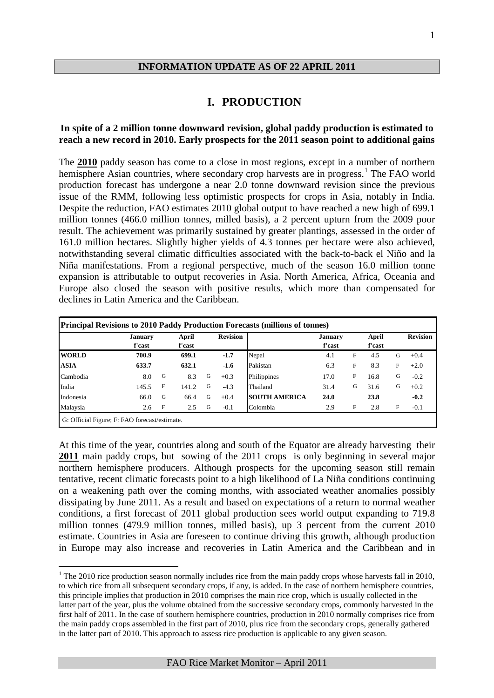#### **INFORMATION UPDATE AS OF 22 APRIL 2011**

#### **I. PRODUCTION**

#### **In spite of a 2 million tonne downward revision, global paddy production is estimated to reach a new record in 2010. Early prospects for the 2011 season point to additional gains**

The **2010** paddy season has come to a close in most regions, except in a number of northern hemisphere Asian countries, where secondary crop harvests are in progress.<sup>[1](#page-0-0)</sup> The FAO world production forecast has undergone a near 2.0 tonne downward revision since the previous issue of the RMM, following less optimistic prospects for crops in Asia, notably in India. Despite the reduction, FAO estimates 2010 global output to have reached a new high of 699.1 million tonnes (466.0 million tonnes, milled basis), a 2 percent upturn from the 2009 poor result. The achievement was primarily sustained by greater plantings, assessed in the order of 161.0 million hectares. Slightly higher yields of 4.3 tonnes per hectare were also achieved, notwithstanding several climatic difficulties associated with the back-to-back el Niño and la Niña manifestations. From a regional perspective, much of the season 16.0 million tonne expansion is attributable to output recoveries in Asia. North America, Africa, Oceania and Europe also closed the season with positive results, which more than compensated for declines in Latin America and the Caribbean.

|              | <b>January</b> |              | April  |   | <b>Revision</b> |                      | <b>January</b> |             | April  |   | <b>Revision</b> |
|--------------|----------------|--------------|--------|---|-----------------|----------------------|----------------|-------------|--------|---|-----------------|
|              | f'cast         |              | f'cast |   |                 |                      | f'cast         |             | f'cast |   |                 |
| <b>WORLD</b> | 700.9          |              | 699.1  |   | $-1.7$          | Nepal                | 4.1            | $\mathbf F$ | 4.5    | G | $+0.4$          |
| <b>ASIA</b>  | 633.7          |              | 632.1  |   | $-1.6$          | Pakistan             | 6.3            | F           | 8.3    | F | $+2.0$          |
| Cambodia     | 8.0            | G            | 8.3    | G | $+0.3$          | Philippines          | 17.0           | F           | 16.8   | G | $-0.2$          |
| India        | 145.5          | F            | 141.2  | G | $-4.3$          | Thailand             | 31.4           | G           | 31.6   | G | $+0.2$          |
| Indonesia    | 66.0           | G            | 66.4   | G | $+0.4$          | <b>SOUTH AMERICA</b> | 24.0           |             | 23.8   |   | $-0.2$          |
| Malaysia     | 2.6            | $\mathbf{F}$ | 2.5    | G | $-0.1$          | Colombia             | 2.9            | F           | 2.8    | F | $-0.1$          |

At this time of the year, countries along and south of the Equator are already harvesting their **2011** main paddy crops, but sowing of the 2011 crops is only beginning in several major northern hemisphere producers. Although prospects for the upcoming season still remain tentative, recent climatic forecasts point to a high likelihood of La Niña conditions continuing on a weakening path over the coming months, with associated weather anomalies possibly dissipating by June 2011. As a result and based on expectations of a return to normal weather conditions, a first forecast of 2011 global production sees world output expanding to 719.8 million tonnes (479.9 million tonnes, milled basis), up 3 percent from the current 2010 estimate. Countries in Asia are foreseen to continue driving this growth, although production in Europe may also increase and recoveries in Latin America and the Caribbean and in

<span id="page-2-0"></span><sup>&</sup>lt;sup>1</sup> The 2010 rice production season normally includes rice from the main paddy crops whose harvests fall in 2010, to which rice from all subsequent secondary crops, if any, is added. In the case of northern hemisphere countries, this principle implies that production in 2010 comprises the main rice crop, which is usually collected in the latter part of the year, plus the volume obtained from the successive secondary crops, commonly harvested in the first half of 2011. In the case of southern hemisphere countries, production in 2010 normally comprises rice from the main paddy crops assembled in the first part of 2010, plus rice from the secondary crops, generally gathered in the latter part of 2010. This approach to assess rice production is applicable to any given season.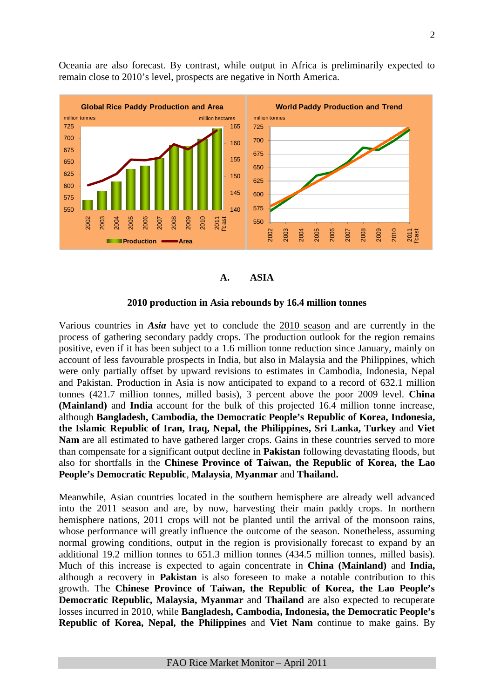Oceania are also forecast. By contrast, while output in Africa is preliminarily expected to remain close to 2010's level, prospects are negative in North America.



#### **A. ASIA**

#### **2010 production in Asia rebounds by 16.4 million tonnes**

Various countries in *Asia* have yet to conclude the 2010 season and are currently in the process of gathering secondary paddy crops. The production outlook for the region remains positive, even if it has been subject to a 1.6 million tonne reduction since January, mainly on account of less favourable prospects in India, but also in Malaysia and the Philippines, which were only partially offset by upward revisions to estimates in Cambodia, Indonesia, Nepal and Pakistan. Production in Asia is now anticipated to expand to a record of 632.1 million tonnes (421.7 million tonnes, milled basis), 3 percent above the poor 2009 level. **China (Mainland)** and **India** account for the bulk of this projected 16.4 million tonne increase, although **Bangladesh, Cambodia, the Democratic People's Republic of Korea, Indonesia, the Islamic Republic of Iran, Iraq, Nepal, the Philippines, Sri Lanka, Turkey** and **Viet Nam** are all estimated to have gathered larger crops. Gains in these countries served to more than compensate for a significant output decline in **Pakistan** following devastating floods, but also for shortfalls in the **Chinese Province of Taiwan, the Republic of Korea, the Lao People's Democratic Republic**, **Malaysia**, **Myanmar** and **Thailand.**

Meanwhile, Asian countries located in the southern hemisphere are already well advanced into the 2011 season and are, by now, harvesting their main paddy crops. In northern hemisphere nations, 2011 crops will not be planted until the arrival of the monsoon rains, whose performance will greatly influence the outcome of the season. Nonetheless, assuming normal growing conditions, output in the region is provisionally forecast to expand by an additional 19.2 million tonnes to 651.3 million tonnes (434.5 million tonnes, milled basis). Much of this increase is expected to again concentrate in **China (Mainland)** and **India,**  although a recovery in **Pakistan** is also foreseen to make a notable contribution to this growth. The **Chinese Province of Taiwan, the Republic of Korea, the Lao People's Democratic Republic, Malaysia, Myanmar** and **Thailand** are also expected to recuperate losses incurred in 2010, while **Bangladesh, Cambodia, Indonesia, the Democratic People's Republic of Korea, Nepal, the Philippines** and **Viet Nam** continue to make gains. By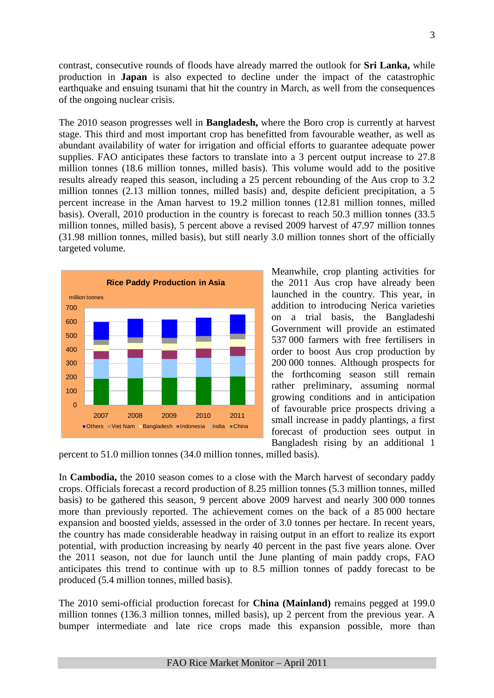contrast, consecutive rounds of floods have already marred the outlook for **Sri Lanka,** while production in **Japan** is also expected to decline under the impact of the catastrophic earthquake and ensuing tsunami that hit the country in March, as well from the consequences of the ongoing nuclear crisis.

The 2010 season progresses well in **Bangladesh,** where the Boro crop is currently at harvest stage. This third and most important crop has benefitted from favourable weather, as well as abundant availability of water for irrigation and official efforts to guarantee adequate power supplies. FAO anticipates these factors to translate into a 3 percent output increase to 27.8 million tonnes (18.6 million tonnes, milled basis). This volume would add to the positive results already reaped this season, including a 25 percent rebounding of the Aus crop to 3.2 million tonnes (2.13 million tonnes, milled basis) and, despite deficient precipitation, a 5 percent increase in the Aman harvest to 19.2 million tonnes (12.81 million tonnes, milled basis). Overall, 2010 production in the country is forecast to reach 50.3 million tonnes (33.5 million tonnes, milled basis), 5 percent above a revised 2009 harvest of 47.97 million tonnes (31.98 million tonnes, milled basis), but still nearly 3.0 million tonnes short of the officially targeted volume.



Meanwhile, crop planting activities for the 2011 Aus crop have already been launched in the country. This year, in addition to introducing Nerica varieties on a trial basis, the Bangladeshi Government will provide an estimated 537 000 farmers with free fertilisers in order to boost Aus crop production by 200 000 tonnes. Although prospects for the forthcoming season still remain rather preliminary, assuming normal growing conditions and in anticipation of favourable price prospects driving a small increase in paddy plantings, a first forecast of production sees output in Bangladesh rising by an additional 1

percent to 51.0 million tonnes (34.0 million tonnes, milled basis).

In **Cambodia,** the 2010 season comes to a close with the March harvest of secondary paddy crops. Officials forecast a record production of 8.25 million tonnes (5.3 million tonnes, milled basis) to be gathered this season, 9 percent above 2009 harvest and nearly 300 000 tonnes more than previously reported. The achievement comes on the back of a 85 000 hectare expansion and boosted yields, assessed in the order of 3.0 tonnes per hectare. In recent years, the country has made considerable headway in raising output in an effort to realize its export potential, with production increasing by nearly 40 percent in the past five years alone. Over the 2011 season, not due for launch until the June planting of main paddy crops, FAO anticipates this trend to continue with up to 8.5 million tonnes of paddy forecast to be produced (5.4 million tonnes, milled basis).

The 2010 semi-official production forecast for **China (Mainland)** remains pegged at 199.0 million tonnes (136.3 million tonnes, milled basis), up 2 percent from the previous year. A bumper intermediate and late rice crops made this expansion possible, more than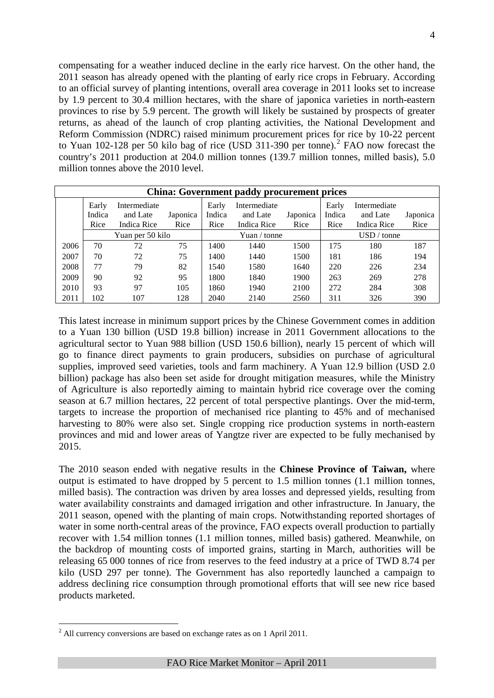compensating for a weather induced decline in the early rice harvest. On the other hand, the 2011 season has already opened with the planting of early rice crops in February. According to an official survey of planting intentions, overall area coverage in 2011 looks set to increase by 1.9 percent to 30.4 million hectares, with the share of japonica varieties in north-eastern provinces to rise by 5.9 percent. The growth will likely be sustained by prospects of greater returns, as ahead of the launch of crop planting activities, the National Development and Reform Commission (NDRC) raised minimum procurement prices for rice by 10-22 percent to Yuan 10[2](#page-2-0)-128 per 50 kilo bag of rice (USD 311-390 per tonne).<sup>2</sup> FAO now forecast the country's 2011 production at 204.0 million tonnes (139.7 million tonnes, milled basis), 5.0 million tonnes above the 2010 level.

|      | <b>China: Government paddy procurement prices</b> |                                         |                  |                         |                                         |                  |                         |                                         |                  |  |  |  |  |
|------|---------------------------------------------------|-----------------------------------------|------------------|-------------------------|-----------------------------------------|------------------|-------------------------|-----------------------------------------|------------------|--|--|--|--|
|      | Early<br>Indica<br>Rice                           | Intermediate<br>and Late<br>Indica Rice | Japonica<br>Rice | Early<br>Indica<br>Rice | Intermediate<br>and Late<br>Indica Rice | Japonica<br>Rice | Early<br>Indica<br>Rice | Intermediate<br>and Late<br>Indica Rice | Japonica<br>Rice |  |  |  |  |
|      |                                                   | Yuan per 50 kilo                        |                  |                         | Yuan / tonne                            |                  |                         | $USD /$ tonne                           |                  |  |  |  |  |
| 2006 | 70                                                | 72                                      | 75               | 1400                    | 1440                                    | 1500             | 175                     | 180                                     | 187              |  |  |  |  |
| 2007 | 70                                                | 72                                      | 75               | 1400                    | 1440                                    | 1500             | 181                     | 186                                     | 194              |  |  |  |  |
| 2008 | 77                                                | 79                                      | 82               | 1540                    | 1580                                    | 1640             | 220                     | 226                                     | 234              |  |  |  |  |
| 2009 | 90                                                | 92                                      | 95               | 1800                    | 1840                                    | 1900             | 263                     | 269                                     | 278              |  |  |  |  |
| 2010 | 93                                                | 97                                      | 105              | 1860                    | 1940                                    | 2100             | 272                     | 284                                     | 308              |  |  |  |  |
| 2011 | 102                                               | 107                                     | 128              | 2040                    | 2140                                    | 2560             | 311                     | 326                                     | 390              |  |  |  |  |

This latest increase in minimum support prices by the Chinese Government comes in addition to a Yuan 130 billion (USD 19.8 billion) increase in 2011 Government allocations to the agricultural sector to Yuan 988 billion (USD 150.6 billion), nearly 15 percent of which will go to finance direct payments to grain producers, subsidies on purchase of agricultural supplies, improved seed varieties, tools and farm machinery. A Yuan 12.9 billion (USD 2.0 billion) package has also been set aside for drought mitigation measures, while the Ministry of Agriculture is also reportedly aiming to maintain hybrid rice coverage over the coming season at 6.7 million hectares, 22 percent of total perspective plantings. Over the mid-term, targets to increase the proportion of mechanised rice planting to 45% and of mechanised harvesting to 80% were also set. Single cropping rice production systems in north-eastern provinces and mid and lower areas of Yangtze river are expected to be fully mechanised by 2015.

The 2010 season ended with negative results in the **Chinese Province of Taiwan,** where output is estimated to have dropped by 5 percent to 1.5 million tonnes (1.1 million tonnes, milled basis). The contraction was driven by area losses and depressed yields, resulting from water availability constraints and damaged irrigation and other infrastructure. In January, the 2011 season, opened with the planting of main crops. Notwithstanding reported shortages of water in some north-central areas of the province, FAO expects overall production to partially recover with 1.54 million tonnes (1.1 million tonnes, milled basis) gathered. Meanwhile, on the backdrop of mounting costs of imported grains, starting in March, authorities will be releasing 65 000 tonnes of rice from reserves to the feed industry at a price of TWD 8.74 per kilo (USD 297 per tonne). The Government has also reportedly launched a campaign to address declining rice consumption through promotional efforts that will see new rice based products marketed.

<span id="page-5-0"></span><sup>&</sup>lt;sup>2</sup> All currency conversions are based on exchange rates as on 1 April 2011.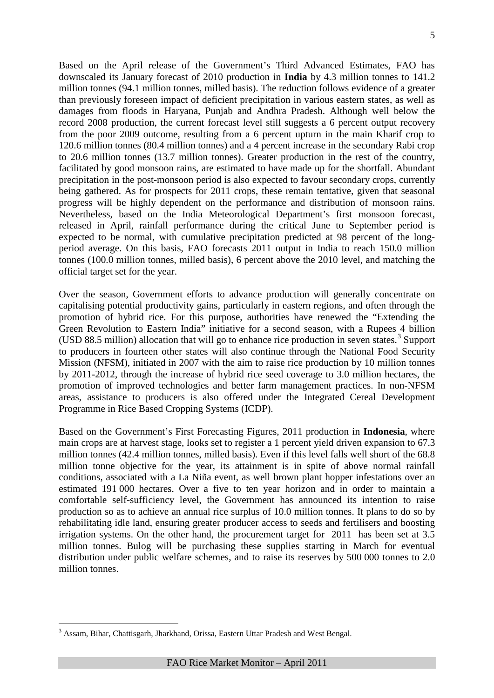Based on the April release of the Government's Third Advanced Estimates, FAO has downscaled its January forecast of 2010 production in **India** by 4.3 million tonnes to 141.2 million tonnes (94.1 million tonnes, milled basis). The reduction follows evidence of a greater than previously foreseen impact of deficient precipitation in various eastern states, as well as damages from floods in Haryana, Punjab and Andhra Pradesh. Although well below the record 2008 production, the current forecast level still suggests a 6 percent output recovery from the poor 2009 outcome, resulting from a 6 percent upturn in the main Kharif crop to 120.6 million tonnes (80.4 million tonnes) and a 4 percent increase in the secondary Rabi crop to 20.6 million tonnes (13.7 million tonnes). Greater production in the rest of the country, facilitated by good monsoon rains, are estimated to have made up for the shortfall. Abundant precipitation in the post-monsoon period is also expected to favour secondary crops, currently being gathered. As for prospects for 2011 crops, these remain tentative, given that seasonal progress will be highly dependent on the performance and distribution of monsoon rains. Nevertheless, based on the India Meteorological Department's first monsoon forecast, released in April, rainfall performance during the critical June to September period is expected to be normal, with cumulative precipitation predicted at 98 percent of the longperiod average. On this basis, FAO forecasts 2011 output in India to reach 150.0 million tonnes (100.0 million tonnes, milled basis), 6 percent above the 2010 level, and matching the official target set for the year.

Over the season, Government efforts to advance production will generally concentrate on capitalising potential productivity gains, particularly in eastern regions, and often through the promotion of hybrid rice. For this purpose, authorities have renewed the "Extending the Green Revolution to Eastern India" initiative for a second season, with a Rupees 4 billion (USD 88.5 million) allocation that will go to enhance rice production in seven states.<sup>[3](#page-5-0)</sup> Support to producers in fourteen other states will also continue through the National Food Security Mission (NFSM), initiated in 2007 with the aim to raise rice production by 10 million tonnes by 2011-2012, through the increase of hybrid rice seed coverage to 3.0 million hectares, the promotion of improved technologies and better farm management practices. In non-NFSM areas, assistance to producers is also offered under the Integrated Cereal Development Programme in Rice Based Cropping Systems (ICDP).

Based on the Government's First Forecasting Figures, 2011 production in **Indonesia**, where main crops are at harvest stage, looks set to register a 1 percent yield driven expansion to 67.3 million tonnes (42.4 million tonnes, milled basis). Even if this level falls well short of the 68.8 million tonne objective for the year, its attainment is in spite of above normal rainfall conditions, associated with a La Niña event, as well brown plant hopper infestations over an estimated 191 000 hectares. Over a five to ten year horizon and in order to maintain a comfortable self-sufficiency level, the Government has announced its intention to raise production so as to achieve an annual rice surplus of 10.0 million tonnes. It plans to do so by rehabilitating idle land, ensuring greater producer access to seeds and fertilisers and boosting irrigation systems. On the other hand, the procurement target for 2011 has been set at 3.5 million tonnes. Bulog will be purchasing these supplies starting in March for eventual distribution under public welfare schemes, and to raise its reserves by 500 000 tonnes to 2.0 million tonnes.

<span id="page-6-0"></span> <sup>3</sup> Assam, Bihar, Chattisgarh, Jharkhand, Orissa, Eastern Uttar Pradesh and West Bengal.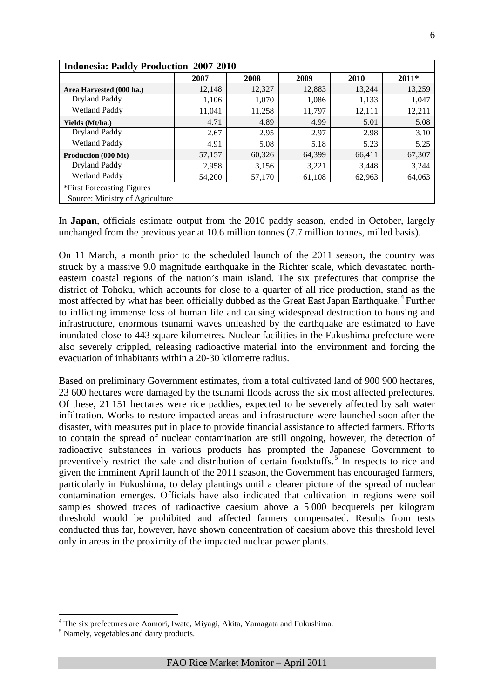| <b>Indonesia: Paddy Production 2007-2010</b> |        |        |        |        |         |
|----------------------------------------------|--------|--------|--------|--------|---------|
|                                              | 2007   | 2008   | 2009   | 2010   | $2011*$ |
| Area Harvested (000 ha.)                     | 12,148 | 12,327 | 12,883 | 13,244 | 13,259  |
| Dryland Paddy                                | 1,106  | 1,070  | 1,086  | 1,133  | 1,047   |
| <b>Wetland Paddy</b>                         | 11,041 | 11,258 | 11,797 | 12,111 | 12,211  |
| Yields (Mt/ha.)                              | 4.71   | 4.89   | 4.99   | 5.01   | 5.08    |
| Dryland Paddy                                | 2.67   | 2.95   | 2.97   | 2.98   | 3.10    |
| <b>Wetland Paddy</b>                         | 4.91   | 5.08   | 5.18   | 5.23   | 5.25    |
| <b>Production (000 Mt)</b>                   | 57,157 | 60,326 | 64,399 | 66,411 | 67,307  |
| Dryland Paddy                                | 2,958  | 3,156  | 3,221  | 3,448  | 3,244   |
| <b>Wetland Paddy</b>                         | 54,200 | 57,170 | 61,108 | 62,963 | 64,063  |
| *First Forecasting Figures                   |        |        |        |        |         |
| Source: Ministry of Agriculture              |        |        |        |        |         |

In **Japan**, officials estimate output from the 2010 paddy season, ended in October, largely unchanged from the previous year at 10.6 million tonnes (7.7 million tonnes, milled basis).

On 11 March, a month prior to the scheduled launch of the 2011 season, the country was struck by a massive 9.0 magnitude earthquake in the Richter scale, which devastated northeastern coastal regions of the nation's main island. The six prefectures that comprise the district of Tohoku, which accounts for close to a quarter of all rice production, stand as the most affected by what has been officially dubbed as the Great East Japan Earthquake.<sup>[4](#page-6-0)</sup> Further to inflicting immense loss of human life and causing widespread destruction to housing and infrastructure, enormous tsunami waves unleashed by the earthquake are estimated to have inundated close to 443 square kilometres. Nuclear facilities in the Fukushima prefecture were also severely crippled, releasing radioactive material into the environment and forcing the evacuation of inhabitants within a 20-30 kilometre radius.

Based on preliminary Government estimates, from a total cultivated land of 900 900 hectares, 23 600 hectares were damaged by the tsunami floods across the six most affected prefectures. Of these, 21 151 hectares were rice paddies, expected to be severely affected by salt water infiltration. Works to restore impacted areas and infrastructure were launched soon after the disaster, with measures put in place to provide financial assistance to affected farmers. Efforts to contain the spread of nuclear contamination are still ongoing, however, the detection of radioactive substances in various products has prompted the Japanese Government to preventively restrict the sale and distribution of certain foodstuffs.<sup>[5](#page-7-0)</sup> In respects to rice and given the imminent April launch of the 2011 season, the Government has encouraged farmers, particularly in Fukushima, to delay plantings until a clearer picture of the spread of nuclear contamination emerges. Officials have also indicated that cultivation in regions were soil samples showed traces of radioactive caesium above a 5 000 becquerels per kilogram threshold would be prohibited and affected farmers compensated. Results from tests conducted thus far, however, have shown concentration of caesium above this threshold level only in areas in the proximity of the impacted nuclear power plants.

<sup>&</sup>lt;sup>4</sup> The six prefectures are Aomori, Iwate, Miyagi, Akita, Yamagata and Fukushima.<br><sup>5</sup> Namely, vegetables and dairy products.

<span id="page-7-0"></span>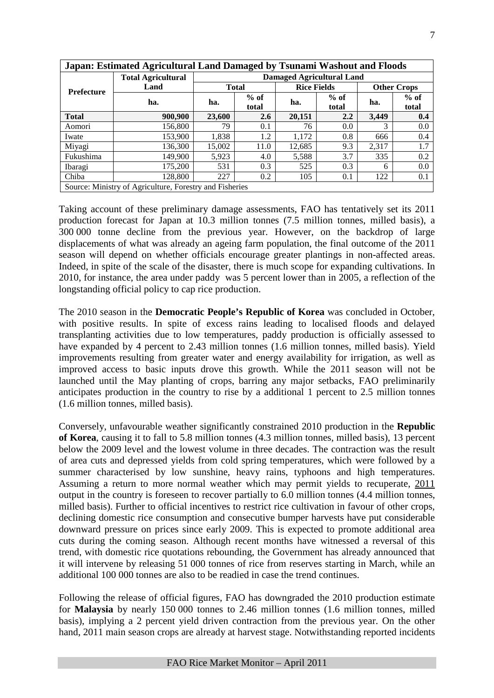|                   | Japan: Estimated Agricultural Land Damaged by Tsunami Washout and Floods |                        |              |                                  |                 |                    |                 |  |  |  |  |
|-------------------|--------------------------------------------------------------------------|------------------------|--------------|----------------------------------|-----------------|--------------------|-----------------|--|--|--|--|
|                   | <b>Total Agricultural</b>                                                |                        |              | <b>Damaged Agricultural Land</b> |                 |                    |                 |  |  |  |  |
| <b>Prefecture</b> | Land                                                                     |                        | <b>Total</b> | <b>Rice Fields</b>               |                 | <b>Other Crops</b> |                 |  |  |  |  |
|                   | ha.                                                                      | $%$ of<br>ha.<br>total |              | ha.                              | $%$ of<br>total | ha.                | $%$ of<br>total |  |  |  |  |
| <b>Total</b>      | 900,900                                                                  | 23,600                 | 2.6          | 20,151                           | 2.2             | 3.449              | 0.4             |  |  |  |  |
| Aomori            | 156,800                                                                  | 79                     | 0.1          | 76                               | 0.0             | 3                  | 0.0             |  |  |  |  |
| Iwate             | 153,900                                                                  | 1,838                  | 1.2          | 1,172                            | 0.8             | 666                | 0.4             |  |  |  |  |
| Miyagi            | 136,300                                                                  | 15,002                 | 11.0         | 12,685                           | 9.3             | 2,317              | 1.7             |  |  |  |  |
| Fukushima         | 149.900                                                                  | 5,923                  | 4.0          | 5,588                            | 3.7             | 335                | 0.2             |  |  |  |  |
| Ibaragi           | 175,200                                                                  | 531                    | 0.3          | 525                              | 0.3             | 6                  | 0.0             |  |  |  |  |
| Chiba             | 128,800                                                                  | 227                    | 0.2          | 105                              | 0.1             | 122                | 0.1             |  |  |  |  |
|                   | Source: Ministry of Agriculture, Forestry and Fisheries                  |                        |              |                                  |                 |                    |                 |  |  |  |  |

Taking account of these preliminary damage assessments, FAO has tentatively set its 2011 production forecast for Japan at 10.3 million tonnes (7.5 million tonnes, milled basis), a 300 000 tonne decline from the previous year. However, on the backdrop of large displacements of what was already an ageing farm population, the final outcome of the 2011 season will depend on whether officials encourage greater plantings in non-affected areas. Indeed, in spite of the scale of the disaster, there is much scope for expanding cultivations. In 2010, for instance, the area under paddy was 5 percent lower than in 2005, a reflection of the longstanding official policy to cap rice production.

The 2010 season in the **Democratic People's Republic of Korea** was concluded in October, with positive results. In spite of excess rains leading to localised floods and delayed transplanting activities due to low temperatures, paddy production is officially assessed to have expanded by 4 percent to 2.43 million tonnes (1.6 million tonnes, milled basis). Yield improvements resulting from greater water and energy availability for irrigation, as well as improved access to basic inputs drove this growth. While the 2011 season will not be launched until the May planting of crops, barring any major setbacks, FAO preliminarily anticipates production in the country to rise by a additional 1 percent to 2.5 million tonnes (1.6 million tonnes, milled basis).

Conversely, unfavourable weather significantly constrained 2010 production in the **Republic of Korea**, causing it to fall to 5.8 million tonnes (4.3 million tonnes, milled basis), 13 percent below the 2009 level and the lowest volume in three decades. The contraction was the result of area cuts and depressed yields from cold spring temperatures, which were followed by a summer characterised by low sunshine, heavy rains, typhoons and high temperatures. Assuming a return to more normal weather which may permit yields to recuperate, 2011 output in the country is foreseen to recover partially to 6.0 million tonnes (4.4 million tonnes, milled basis). Further to official incentives to restrict rice cultivation in favour of other crops, declining domestic rice consumption and consecutive bumper harvests have put considerable downward pressure on prices since early 2009. This is expected to promote additional area cuts during the coming season. Although recent months have witnessed a reversal of this trend, with domestic rice quotations rebounding, the Government has already announced that it will intervene by releasing 51 000 tonnes of rice from reserves starting in March, while an additional 100 000 tonnes are also to be readied in case the trend continues.

Following the release of official figures, FAO has downgraded the 2010 production estimate for **Malaysia** by nearly 150 000 tonnes to 2.46 million tonnes (1.6 million tonnes, milled basis), implying a 2 percent yield driven contraction from the previous year. On the other hand, 2011 main season crops are already at harvest stage. Notwithstanding reported incidents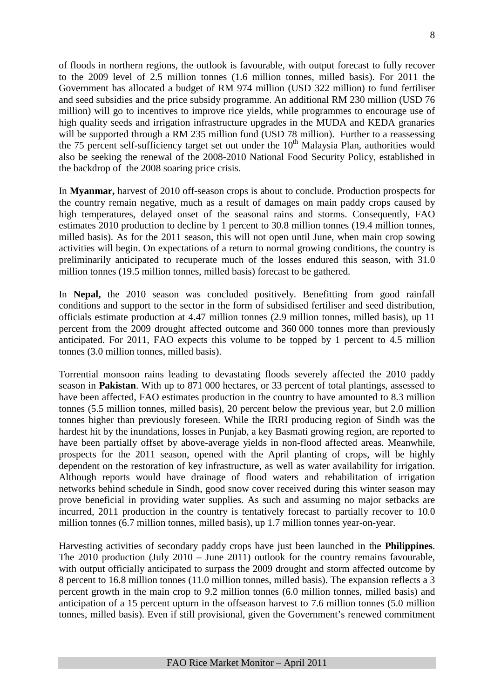of floods in northern regions, the outlook is favourable, with output forecast to fully recover to the 2009 level of 2.5 million tonnes (1.6 million tonnes, milled basis). For 2011 the Government has allocated a budget of RM 974 million (USD 322 million) to fund fertiliser and seed subsidies and the price subsidy programme. An additional RM 230 million (USD 76 million) will go to incentives to improve rice yields, while programmes to encourage use of high quality seeds and irrigation infrastructure upgrades in the MUDA and KEDA granaries will be supported through a RM 235 million fund (USD 78 million). Further to a reassessing the 75 percent self-sufficiency target set out under the  $10<sup>th</sup>$  Malaysia Plan, authorities would also be seeking the renewal of the 2008-2010 National Food Security Policy, established in the backdrop of the 2008 soaring price crisis.

In **Myanmar,** harvest of 2010 off-season crops is about to conclude. Production prospects for the country remain negative, much as a result of damages on main paddy crops caused by high temperatures, delayed onset of the seasonal rains and storms. Consequently, FAO estimates 2010 production to decline by 1 percent to 30.8 million tonnes (19.4 million tonnes, milled basis). As for the 2011 season, this will not open until June, when main crop sowing activities will begin. On expectations of a return to normal growing conditions, the country is preliminarily anticipated to recuperate much of the losses endured this season, with 31.0 million tonnes (19.5 million tonnes, milled basis) forecast to be gathered.

In **Nepal,** the 2010 season was concluded positively. Benefitting from good rainfall conditions and support to the sector in the form of subsidised fertiliser and seed distribution, officials estimate production at 4.47 million tonnes (2.9 million tonnes, milled basis), up 11 percent from the 2009 drought affected outcome and 360 000 tonnes more than previously anticipated. For 2011, FAO expects this volume to be topped by 1 percent to 4.5 million tonnes (3.0 million tonnes, milled basis).

Torrential monsoon rains leading to devastating floods severely affected the 2010 paddy season in **Pakistan**. With up to 871 000 hectares, or 33 percent of total plantings, assessed to have been affected, FAO estimates production in the country to have amounted to 8.3 million tonnes (5.5 million tonnes, milled basis), 20 percent below the previous year, but 2.0 million tonnes higher than previously foreseen. While the IRRI producing region of Sindh was the hardest hit by the inundations, losses in Punjab, a key Basmati growing region, are reported to have been partially offset by above-average yields in non-flood affected areas. Meanwhile, prospects for the 2011 season, opened with the April planting of crops, will be highly dependent on the restoration of key infrastructure, as well as water availability for irrigation. Although reports would have drainage of flood waters and rehabilitation of irrigation networks behind schedule in Sindh, good snow cover received during this winter season may prove beneficial in providing water supplies. As such and assuming no major setbacks are incurred, 2011 production in the country is tentatively forecast to partially recover to 10.0 million tonnes (6.7 million tonnes, milled basis), up 1.7 million tonnes year-on-year.

Harvesting activities of secondary paddy crops have just been launched in the **Philippines**. The 2010 production (July 2010 – June 2011) outlook for the country remains favourable, with output officially anticipated to surpass the 2009 drought and storm affected outcome by 8 percent to 16.8 million tonnes (11.0 million tonnes, milled basis). The expansion reflects a 3 percent growth in the main crop to 9.2 million tonnes (6.0 million tonnes, milled basis) and anticipation of a 15 percent upturn in the offseason harvest to 7.6 million tonnes (5.0 million tonnes, milled basis). Even if still provisional, given the Government's renewed commitment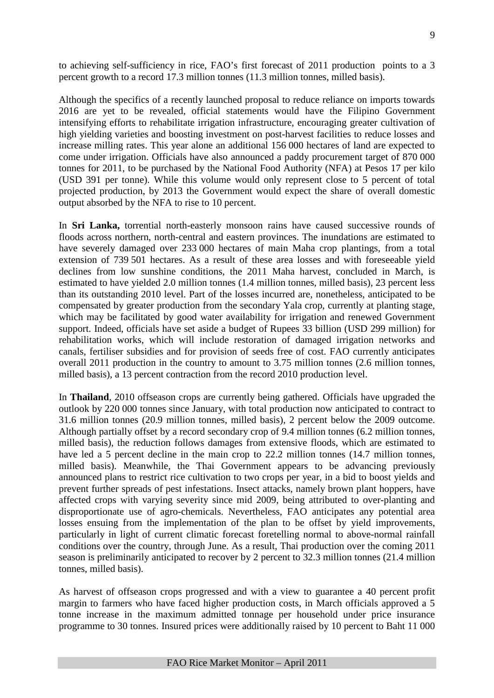to achieving self-sufficiency in rice, FAO's first forecast of 2011 production points to a 3 percent growth to a record 17.3 million tonnes (11.3 million tonnes, milled basis).

Although the specifics of a recently launched proposal to reduce reliance on imports towards 2016 are yet to be revealed, official statements would have the Filipino Government intensifying efforts to rehabilitate irrigation infrastructure, encouraging greater cultivation of high yielding varieties and boosting investment on post-harvest facilities to reduce losses and increase milling rates. This year alone an additional 156 000 hectares of land are expected to come under irrigation. Officials have also announced a paddy procurement target of 870 000 tonnes for 2011, to be purchased by the National Food Authority (NFA) at Pesos 17 per kilo (USD 391 per tonne). While this volume would only represent close to 5 percent of total projected production, by 2013 the Government would expect the share of overall domestic output absorbed by the NFA to rise to 10 percent.

In **Sri Lanka,** torrential north-easterly monsoon rains have caused successive rounds of floods across northern, north-central and eastern provinces. The inundations are estimated to have severely damaged over 233 000 hectares of main Maha crop plantings, from a total extension of 739 501 hectares. As a result of these area losses and with foreseeable yield declines from low sunshine conditions, the 2011 Maha harvest, concluded in March, is estimated to have yielded 2.0 million tonnes (1.4 million tonnes, milled basis), 23 percent less than its outstanding 2010 level. Part of the losses incurred are, nonetheless, anticipated to be compensated by greater production from the secondary Yala crop, currently at planting stage, which may be facilitated by good water availability for irrigation and renewed Government support. Indeed, officials have set aside a budget of Rupees 33 billion (USD 299 million) for rehabilitation works, which will include restoration of damaged irrigation networks and canals, fertiliser subsidies and for provision of seeds free of cost. FAO currently anticipates overall 2011 production in the country to amount to 3.75 million tonnes (2.6 million tonnes, milled basis), a 13 percent contraction from the record 2010 production level.

In **Thailand**, 2010 offseason crops are currently being gathered. Officials have upgraded the outlook by 220 000 tonnes since January, with total production now anticipated to contract to 31.6 million tonnes (20.9 million tonnes, milled basis), 2 percent below the 2009 outcome. Although partially offset by a record secondary crop of 9.4 million tonnes (6.2 million tonnes, milled basis), the reduction follows damages from extensive floods, which are estimated to have led a 5 percent decline in the main crop to 22.2 million tonnes (14.7 million tonnes, milled basis). Meanwhile, the Thai Government appears to be advancing previously announced plans to restrict rice cultivation to two crops per year, in a bid to boost yields and prevent further spreads of pest infestations. Insect attacks, namely brown plant hoppers, have affected crops with varying severity since mid 2009, being attributed to over-planting and disproportionate use of agro-chemicals. Nevertheless, FAO anticipates any potential area losses ensuing from the implementation of the plan to be offset by yield improvements, particularly in light of current climatic forecast foretelling normal to above-normal rainfall conditions over the country, through June. As a result, Thai production over the coming 2011 season is preliminarily anticipated to recover by 2 percent to 32.3 million tonnes (21.4 million tonnes, milled basis).

As harvest of offseason crops progressed and with a view to guarantee a 40 percent profit margin to farmers who have faced higher production costs, in March officials approved a 5 tonne increase in the maximum admitted tonnage per household under price insurance programme to 30 tonnes. Insured prices were additionally raised by 10 percent to Baht 11 000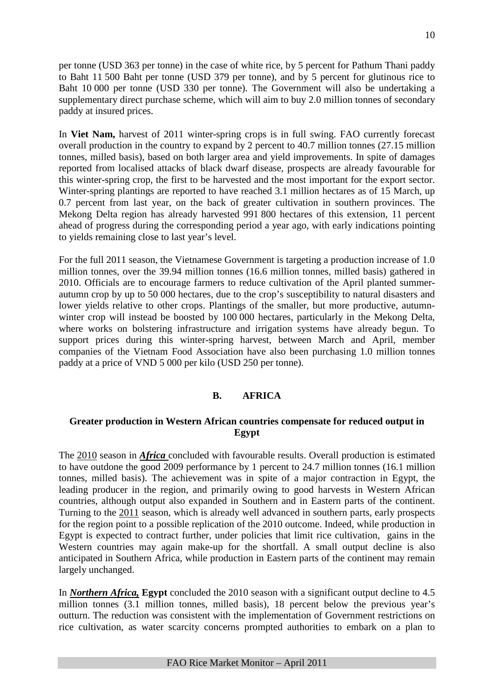per tonne (USD 363 per tonne) in the case of white rice, by 5 percent for Pathum Thani paddy to Baht 11 500 Baht per tonne (USD 379 per tonne), and by 5 percent for glutinous rice to Baht 10 000 per tonne (USD 330 per tonne). The Government will also be undertaking a supplementary direct purchase scheme, which will aim to buy 2.0 million tonnes of secondary paddy at insured prices.

In **Viet Nam,** harvest of 2011 winter-spring crops is in full swing. FAO currently forecast overall production in the country to expand by 2 percent to 40.7 million tonnes (27.15 million tonnes, milled basis), based on both larger area and yield improvements. In spite of damages reported from localised attacks of black dwarf disease, prospects are already favourable for this winter-spring crop, the first to be harvested and the most important for the export sector. Winter-spring plantings are reported to have reached 3.1 million hectares as of 15 March, up 0.7 percent from last year, on the back of greater cultivation in southern provinces. The Mekong Delta region has already harvested 991 800 hectares of this extension, 11 percent ahead of progress during the corresponding period a year ago, with early indications pointing to yields remaining close to last year's level.

For the full 2011 season, the Vietnamese Government is targeting a production increase of 1.0 million tonnes, over the 39.94 million tonnes (16.6 million tonnes, milled basis) gathered in 2010. Officials are to encourage farmers to reduce cultivation of the April planted summerautumn crop by up to 50 000 hectares, due to the crop's susceptibility to natural disasters and lower yields relative to other crops. Plantings of the smaller, but more productive, autumnwinter crop will instead be boosted by 100 000 hectares, particularly in the Mekong Delta, where works on bolstering infrastructure and irrigation systems have already begun. To support prices during this winter-spring harvest, between March and April, member companies of the Vietnam Food Association have also been purchasing 1.0 million tonnes paddy at a price of VND 5 000 per kilo (USD 250 per tonne).

## **B. AFRICA**

## **Greater production in Western African countries compensate for reduced output in Egypt**

The 2010 season in *Africa* concluded with favourable results. Overall production is estimated to have outdone the good 2009 performance by 1 percent to 24.7 million tonnes (16.1 million tonnes, milled basis). The achievement was in spite of a major contraction in Egypt, the leading producer in the region, and primarily owing to good harvests in Western African countries, although output also expanded in Southern and in Eastern parts of the continent. Turning to the 2011 season, which is already well advanced in southern parts, early prospects for the region point to a possible replication of the 2010 outcome. Indeed, while production in Egypt is expected to contract further, under policies that limit rice cultivation, gains in the Western countries may again make-up for the shortfall. A small output decline is also anticipated in Southern Africa, while production in Eastern parts of the continent may remain largely unchanged.

In *Northern Africa,* **Egypt** concluded the 2010 season with a significant output decline to 4.5 million tonnes (3.1 million tonnes, milled basis), 18 percent below the previous year's outturn. The reduction was consistent with the implementation of Government restrictions on rice cultivation, as water scarcity concerns prompted authorities to embark on a plan to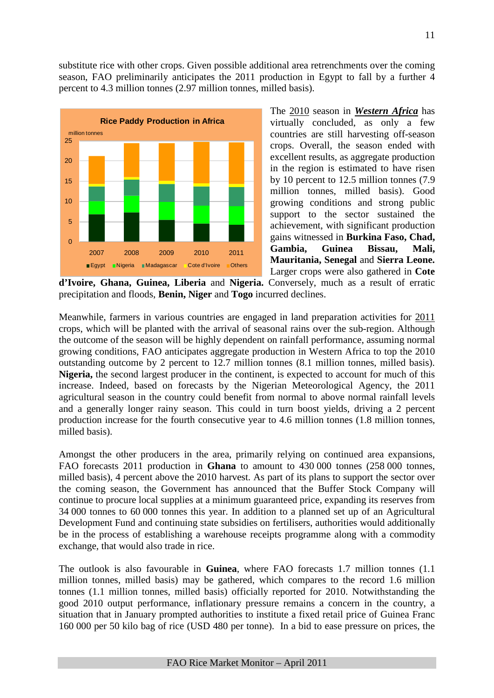substitute rice with other crops. Given possible additional area retrenchments over the coming season, FAO preliminarily anticipates the 2011 production in Egypt to fall by a further 4 percent to 4.3 million tonnes (2.97 million tonnes, milled basis).



The 2010 season in *Western Africa* has virtually concluded, as only a few countries are still harvesting off-season crops. Overall, the season ended with excellent results, as aggregate production in the region is estimated to have risen by 10 percent to 12.5 million tonnes (7.9 million tonnes, milled basis). Good growing conditions and strong public support to the sector sustained the achievement, with significant production gains witnessed in **Burkina Faso, Chad, Gambia, Guinea Bissau, Mali, Mauritania, Senegal** and **Sierra Leone.** Larger crops were also gathered in **Cote** 

**d'Ivoire, Ghana, Guinea, Liberia** and **Nigeria.** Conversely, much as a result of erratic precipitation and floods, **Benin, Niger** and **Togo** incurred declines.

Meanwhile, farmers in various countries are engaged in land preparation activities for 2011 crops, which will be planted with the arrival of seasonal rains over the sub-region. Although the outcome of the season will be highly dependent on rainfall performance, assuming normal growing conditions, FAO anticipates aggregate production in Western Africa to top the 2010 outstanding outcome by 2 percent to 12.7 million tonnes (8.1 million tonnes, milled basis). **Nigeria,** the second largest producer in the continent, is expected to account for much of this increase. Indeed, based on forecasts by the Nigerian Meteorological Agency, the 2011 agricultural season in the country could benefit from normal to above normal rainfall levels and a generally longer rainy season. This could in turn boost yields, driving a 2 percent production increase for the fourth consecutive year to 4.6 million tonnes (1.8 million tonnes, milled basis).

Amongst the other producers in the area, primarily relying on continued area expansions, FAO forecasts 2011 production in **Ghana** to amount to 430 000 tonnes (258 000 tonnes, milled basis), 4 percent above the 2010 harvest. As part of its plans to support the sector over the coming season, the Government has announced that the Buffer Stock Company will continue to procure local supplies at a minimum guaranteed price, expanding its reserves from 34 000 tonnes to 60 000 tonnes this year. In addition to a planned set up of an Agricultural Development Fund and continuing state subsidies on fertilisers, authorities would additionally be in the process of establishing a warehouse receipts programme along with a commodity exchange, that would also trade in rice.

The outlook is also favourable in **Guinea**, where FAO forecasts 1.7 million tonnes (1.1 million tonnes, milled basis) may be gathered, which compares to the record 1.6 million tonnes (1.1 million tonnes, milled basis) officially reported for 2010. Notwithstanding the good 2010 output performance, inflationary pressure remains a concern in the country, a situation that in January prompted authorities to institute a fixed retail price of Guinea Franc 160 000 per 50 kilo bag of rice (USD 480 per tonne). In a bid to ease pressure on prices, the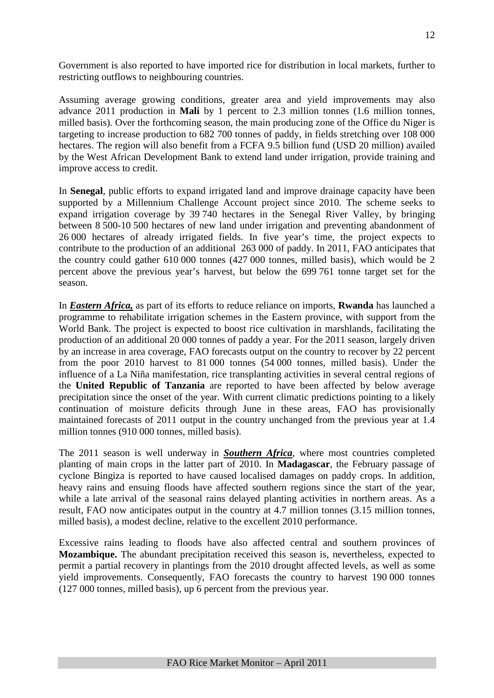Government is also reported to have imported rice for distribution in local markets, further to restricting outflows to neighbouring countries.

Assuming average growing conditions, greater area and yield improvements may also advance 2011 production in **Mali** by 1 percent to 2.3 million tonnes (1.6 million tonnes, milled basis). Over the forthcoming season, the main producing zone of the Office du Niger is targeting to increase production to 682 700 tonnes of paddy, in fields stretching over 108 000 hectares. The region will also benefit from a FCFA 9.5 billion fund (USD 20 million) availed by the West African Development Bank to extend land under irrigation, provide training and improve access to credit.

In **Senegal**, public efforts to expand irrigated land and improve drainage capacity have been supported by a Millennium Challenge Account project since 2010. The scheme seeks to expand irrigation coverage by 39 740 hectares in the Senegal River Valley, by bringing between 8 500-10 500 hectares of new land under irrigation and preventing abandonment of 26 000 hectares of already irrigated fields. In five year's time, the project expects to contribute to the production of an additional 263 000 of paddy. In 2011, FAO anticipates that the country could gather 610 000 tonnes (427 000 tonnes, milled basis), which would be 2 percent above the previous year's harvest, but below the 699 761 tonne target set for the season.

In *Eastern Africa,* as part of its efforts to reduce reliance on imports, **Rwanda** has launched a programme to rehabilitate irrigation schemes in the Eastern province, with support from the World Bank. The project is expected to boost rice cultivation in marshlands, facilitating the production of an additional 20 000 tonnes of paddy a year. For the 2011 season, largely driven by an increase in area coverage, FAO forecasts output on the country to recover by 22 percent from the poor 2010 harvest to 81 000 tonnes (54 000 tonnes, milled basis). Under the influence of a La Niña manifestation, rice transplanting activities in several central regions of the **United Republic of Tanzania** are reported to have been affected by below average precipitation since the onset of the year. With current climatic predictions pointing to a likely continuation of moisture deficits through June in these areas, FAO has provisionally maintained forecasts of 2011 output in the country unchanged from the previous year at 1.4 million tonnes (910 000 tonnes, milled basis).

The 2011 season is well underway in *Southern Africa*, where most countries completed planting of main crops in the latter part of 2010. In **Madagascar**, the February passage of cyclone Bingiza is reported to have caused localised damages on paddy crops. In addition, heavy rains and ensuing floods have affected southern regions since the start of the year, while a late arrival of the seasonal rains delayed planting activities in northern areas. As a result, FAO now anticipates output in the country at 4.7 million tonnes (3.15 million tonnes, milled basis), a modest decline, relative to the excellent 2010 performance.

Excessive rains leading to floods have also affected central and southern provinces of **Mozambique.** The abundant precipitation received this season is, nevertheless, expected to permit a partial recovery in plantings from the 2010 drought affected levels, as well as some yield improvements. Consequently, FAO forecasts the country to harvest 190 000 tonnes (127 000 tonnes, milled basis), up 6 percent from the previous year.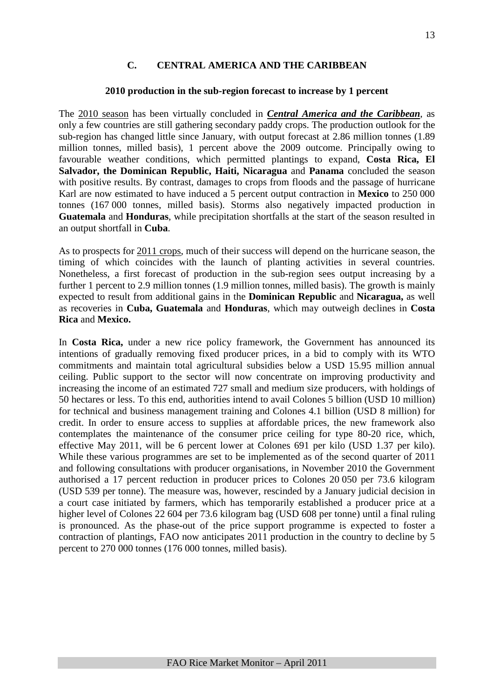#### **C. CENTRAL AMERICA AND THE CARIBBEAN**

#### **2010 production in the sub-region forecast to increase by 1 percent**

The 2010 season has been virtually concluded in *Central America and the Caribbean*, as only a few countries are still gathering secondary paddy crops. The production outlook for the sub-region has changed little since January, with output forecast at 2.86 million tonnes (1.89 million tonnes, milled basis), 1 percent above the 2009 outcome. Principally owing to favourable weather conditions, which permitted plantings to expand, **Costa Rica, El Salvador, the Dominican Republic, Haiti, Nicaragua** and **Panama** concluded the season with positive results. By contrast, damages to crops from floods and the passage of hurricane Karl are now estimated to have induced a 5 percent output contraction in **Mexico** to 250 000 tonnes (167 000 tonnes, milled basis). Storms also negatively impacted production in **Guatemala** and **Honduras**, while precipitation shortfalls at the start of the season resulted in an output shortfall in **Cuba**.

As to prospects for 2011 crops, much of their success will depend on the hurricane season, the timing of which coincides with the launch of planting activities in several countries. Nonetheless, a first forecast of production in the sub-region sees output increasing by a further 1 percent to 2.9 million tonnes (1.9 million tonnes, milled basis). The growth is mainly expected to result from additional gains in the **Dominican Republic** and **Nicaragua,** as well as recoveries in **Cuba, Guatemala** and **Honduras**, which may outweigh declines in **Costa Rica** and **Mexico.** 

In **Costa Rica,** under a new rice policy framework, the Government has announced its intentions of gradually removing fixed producer prices, in a bid to comply with its WTO commitments and maintain total agricultural subsidies below a USD 15.95 million annual ceiling. Public support to the sector will now concentrate on improving productivity and increasing the income of an estimated 727 small and medium size producers, with holdings of 50 hectares or less. To this end, authorities intend to avail Colones 5 billion (USD 10 million) for technical and business management training and Colones 4.1 billion (USD 8 million) for credit. In order to ensure access to supplies at affordable prices, the new framework also contemplates the maintenance of the consumer price ceiling for type 80-20 rice, which, effective May 2011, will be 6 percent lower at Colones 691 per kilo (USD 1.37 per kilo). While these various programmes are set to be implemented as of the second quarter of 2011 and following consultations with producer organisations, in November 2010 the Government authorised a 17 percent reduction in producer prices to Colones 20 050 per 73.6 kilogram (USD 539 per tonne). The measure was, however, rescinded by a January judicial decision in a court case initiated by farmers, which has temporarily established a producer price at a higher level of Colones 22 604 per 73.6 kilogram bag (USD 608 per tonne) until a final ruling is pronounced. As the phase-out of the price support programme is expected to foster a contraction of plantings, FAO now anticipates 2011 production in the country to decline by 5 percent to 270 000 tonnes (176 000 tonnes, milled basis).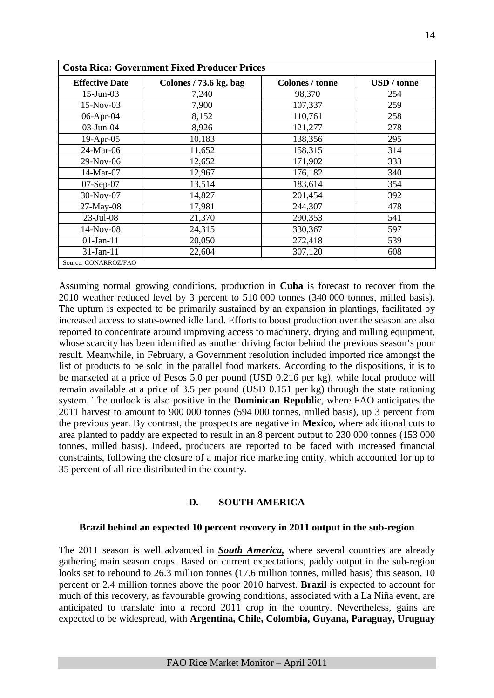|                       | <b>Costa Rica: Government Fixed Producer Prices</b> |                        |                    |  |  |  |  |  |  |  |  |  |
|-----------------------|-----------------------------------------------------|------------------------|--------------------|--|--|--|--|--|--|--|--|--|
| <b>Effective Date</b> | Colones / 73.6 kg. bag                              | <b>Colones / tonne</b> | <b>USD</b> / tonne |  |  |  |  |  |  |  |  |  |
| $15$ -Jun-03          | 7,240                                               | 98,370                 | 254                |  |  |  |  |  |  |  |  |  |
| $15-Nov-03$           | 7,900                                               | 107,337                | 259                |  |  |  |  |  |  |  |  |  |
| 06-Apr-04             | 8,152                                               | 110,761                | 258                |  |  |  |  |  |  |  |  |  |
| $03$ -Jun- $04$       | 8,926                                               | 121,277                | 278                |  |  |  |  |  |  |  |  |  |
| $19-Apr-05$           | 10,183                                              | 138,356                | 295                |  |  |  |  |  |  |  |  |  |
| 24-Mar-06             | 11,652                                              | 158,315                | 314                |  |  |  |  |  |  |  |  |  |
| 29-Nov-06             | 12,652                                              | 171,902                | 333                |  |  |  |  |  |  |  |  |  |
| 14-Mar-07             | 12,967                                              | 176,182                | 340                |  |  |  |  |  |  |  |  |  |
| $07-Sep-07$           | 13,514                                              | 183,614                | 354                |  |  |  |  |  |  |  |  |  |
| $30-Nov-07$           | 14,827                                              | 201,454                | 392                |  |  |  |  |  |  |  |  |  |
| $27-May-08$           | 17,981                                              | 244,307                | 478                |  |  |  |  |  |  |  |  |  |
| $23$ -Jul-08          | 21,370                                              | 290,353                | 541                |  |  |  |  |  |  |  |  |  |
| 14-Nov-08             | 24,315                                              | 330,367                | 597                |  |  |  |  |  |  |  |  |  |
| $01$ -Jan-11          | 20,050                                              | 272,418                | 539                |  |  |  |  |  |  |  |  |  |
| $31$ -Jan-11          | 22,604                                              | 307,120                | 608                |  |  |  |  |  |  |  |  |  |
| Source: CONARROZ/FAO  |                                                     |                        |                    |  |  |  |  |  |  |  |  |  |

Assuming normal growing conditions, production in **Cuba** is forecast to recover from the 2010 weather reduced level by 3 percent to 510 000 tonnes (340 000 tonnes, milled basis). The upturn is expected to be primarily sustained by an expansion in plantings, facilitated by increased access to state-owned idle land. Efforts to boost production over the season are also reported to concentrate around improving access to machinery, drying and milling equipment, whose scarcity has been identified as another driving factor behind the previous season's poor result. Meanwhile, in February, a Government resolution included imported rice amongst the list of products to be sold in the parallel food markets. According to the dispositions, it is to be marketed at a price of Pesos 5.0 per pound (USD 0.216 per kg), while local produce will remain available at a price of 3.5 per pound (USD 0.151 per kg) through the state rationing system. The outlook is also positive in the **Dominican Republic**, where FAO anticipates the 2011 harvest to amount to 900 000 tonnes (594 000 tonnes, milled basis), up 3 percent from the previous year. By contrast, the prospects are negative in **Mexico,** where additional cuts to area planted to paddy are expected to result in an 8 percent output to 230 000 tonnes (153 000 tonnes, milled basis). Indeed, producers are reported to be faced with increased financial constraints, following the closure of a major rice marketing entity, which accounted for up to 35 percent of all rice distributed in the country.

## **D. SOUTH AMERICA**

#### **Brazil behind an expected 10 percent recovery in 2011 output in the sub-region**

The 2011 season is well advanced in *South America,* where several countries are already gathering main season crops. Based on current expectations, paddy output in the sub-region looks set to rebound to 26.3 million tonnes (17.6 million tonnes, milled basis) this season, 10 percent or 2.4 million tonnes above the poor 2010 harvest. **Brazil** is expected to account for much of this recovery, as favourable growing conditions, associated with a La Niña event, are anticipated to translate into a record 2011 crop in the country. Nevertheless, gains are expected to be widespread, with **Argentina, Chile, Colombia, Guyana, Paraguay, Uruguay**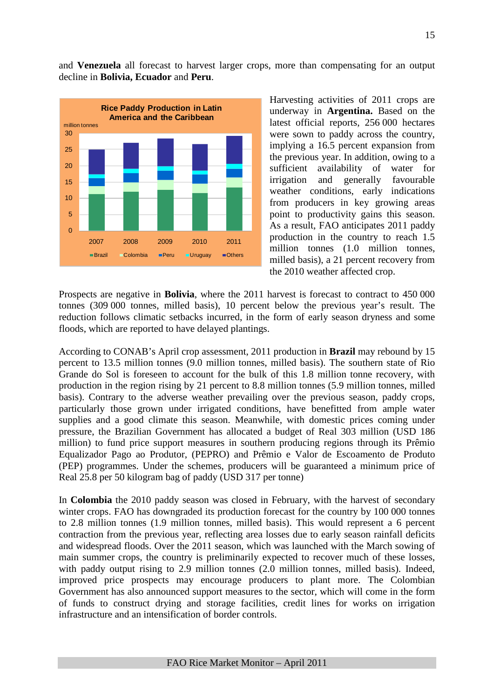and **Venezuela** all forecast to harvest larger crops, more than compensating for an output decline in **Bolivia, Ecuador** and **Peru**.



Harvesting activities of 2011 crops are underway in **Argentina.** Based on the latest official reports, 256 000 hectares were sown to paddy across the country, implying a 16.5 percent expansion from the previous year. In addition, owing to a sufficient availability of water for irrigation and generally favourable weather conditions, early indications from producers in key growing areas point to productivity gains this season. As a result, FAO anticipates 2011 paddy production in the country to reach 1.5 million tonnes (1.0 million tonnes, milled basis), a 21 percent recovery from the 2010 weather affected crop.

Prospects are negative in **Bolivia**, where the 2011 harvest is forecast to contract to 450 000 tonnes (309 000 tonnes, milled basis), 10 percent below the previous year's result. The reduction follows climatic setbacks incurred, in the form of early season dryness and some floods, which are reported to have delayed plantings.

According to CONAB's April crop assessment, 2011 production in **Brazil** may rebound by 15 percent to 13.5 million tonnes (9.0 million tonnes, milled basis). The southern state of Rio Grande do Sol is foreseen to account for the bulk of this 1.8 million tonne recovery, with production in the region rising by 21 percent to 8.8 million tonnes (5.9 million tonnes, milled basis). Contrary to the adverse weather prevailing over the previous season, paddy crops, particularly those grown under irrigated conditions, have benefitted from ample water supplies and a good climate this season. Meanwhile, with domestic prices coming under pressure, the Brazilian Government has allocated a budget of Real 303 million (USD 186 million) to fund price support measures in southern producing regions through its Prêmio Equalizador Pago ao Produtor, (PEPRO) and Prêmio e Valor de Escoamento de Produto (PEP) programmes. Under the schemes, producers will be guaranteed a minimum price of Real 25.8 per 50 kilogram bag of paddy (USD 317 per tonne)

In **Colombia** the 2010 paddy season was closed in February, with the harvest of secondary winter crops. FAO has downgraded its production forecast for the country by 100 000 tonnes to 2.8 million tonnes (1.9 million tonnes, milled basis). This would represent a 6 percent contraction from the previous year, reflecting area losses due to early season rainfall deficits and widespread floods. Over the 2011 season, which was launched with the March sowing of main summer crops, the country is preliminarily expected to recover much of these losses, with paddy output rising to 2.9 million tonnes (2.0 million tonnes, milled basis). Indeed, improved price prospects may encourage producers to plant more. The Colombian Government has also announced support measures to the sector, which will come in the form of funds to construct drying and storage facilities, credit lines for works on irrigation infrastructure and an intensification of border controls.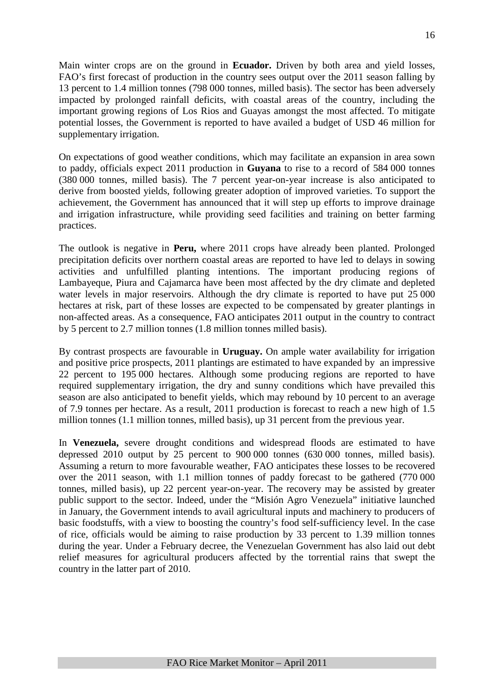Main winter crops are on the ground in **Ecuador.** Driven by both area and yield losses, FAO's first forecast of production in the country sees output over the 2011 season falling by 13 percent to 1.4 million tonnes (798 000 tonnes, milled basis). The sector has been adversely impacted by prolonged rainfall deficits, with coastal areas of the country, including the important growing regions of Los Rios and Guayas amongst the most affected. To mitigate potential losses, the Government is reported to have availed a budget of USD 46 million for supplementary irrigation.

On expectations of good weather conditions, which may facilitate an expansion in area sown to paddy, officials expect 2011 production in **Guyana** to rise to a record of 584 000 tonnes (380 000 tonnes, milled basis). The 7 percent year-on-year increase is also anticipated to derive from boosted yields, following greater adoption of improved varieties. To support the achievement, the Government has announced that it will step up efforts to improve drainage and irrigation infrastructure, while providing seed facilities and training on better farming practices.

The outlook is negative in **Peru,** where 2011 crops have already been planted. Prolonged precipitation deficits over northern coastal areas are reported to have led to delays in sowing activities and unfulfilled planting intentions. The important producing regions of Lambayeque, Piura and Cajamarca have been most affected by the dry climate and depleted water levels in major reservoirs. Although the dry climate is reported to have put 25 000 hectares at risk, part of these losses are expected to be compensated by greater plantings in non-affected areas. As a consequence, FAO anticipates 2011 output in the country to contract by 5 percent to 2.7 million tonnes (1.8 million tonnes milled basis).

By contrast prospects are favourable in **Uruguay.** On ample water availability for irrigation and positive price prospects, 2011 plantings are estimated to have expanded by an impressive 22 percent to 195 000 hectares. Although some producing regions are reported to have required supplementary irrigation, the dry and sunny conditions which have prevailed this season are also anticipated to benefit yields, which may rebound by 10 percent to an average of 7.9 tonnes per hectare. As a result, 2011 production is forecast to reach a new high of 1.5 million tonnes (1.1 million tonnes, milled basis), up 31 percent from the previous year.

In **Venezuela,** severe drought conditions and widespread floods are estimated to have depressed 2010 output by 25 percent to 900 000 tonnes (630 000 tonnes, milled basis). Assuming a return to more favourable weather, FAO anticipates these losses to be recovered over the 2011 season, with 1.1 million tonnes of paddy forecast to be gathered (770 000 tonnes, milled basis), up 22 percent year-on-year. The recovery may be assisted by greater public support to the sector. Indeed, under the "Misión Agro Venezuela" initiative launched in January, the Government intends to avail agricultural inputs and machinery to producers of basic foodstuffs, with a view to boosting the country's food self-sufficiency level. In the case of rice, officials would be aiming to raise production by 33 percent to 1.39 million tonnes during the year. Under a February decree, the Venezuelan Government has also laid out debt relief measures for agricultural producers affected by the torrential rains that swept the country in the latter part of 2010.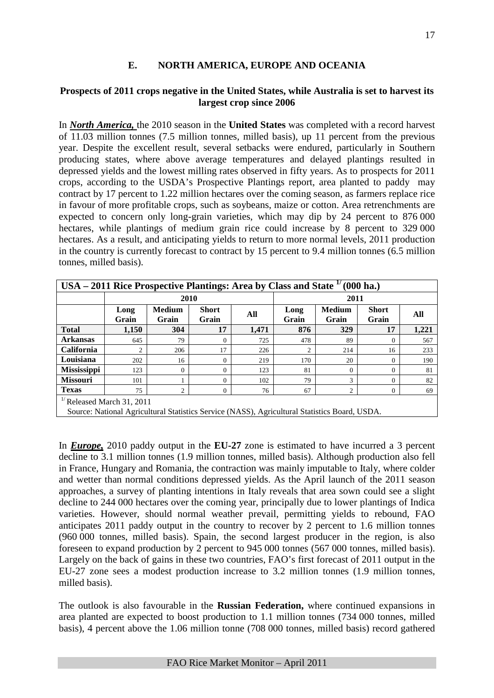## **E. NORTH AMERICA, EUROPE AND OCEANIA**

#### **Prospects of 2011 crops negative in the United States, while Australia is set to harvest its largest crop since 2006**

In *North America,* the 2010 season in the **United States** was completed with a record harvest of 11.03 million tonnes (7.5 million tonnes, milled basis), up 11 percent from the previous year. Despite the excellent result, several setbacks were endured, particularly in Southern producing states, where above average temperatures and delayed plantings resulted in depressed yields and the lowest milling rates observed in fifty years. As to prospects for 2011 crops, according to the USDA's Prospective Plantings report, area planted to paddy may contract by 17 percent to 1.22 million hectares over the coming season, as farmers replace rice in favour of more profitable crops, such as soybeans, maize or cotton. Area retrenchments are expected to concern only long-grain varieties, which may dip by 24 percent to 876 000 hectares, while plantings of medium grain rice could increase by 8 percent to 329 000 hectares. As a result, and anticipating yields to return to more normal levels, 2011 production in the country is currently forecast to contract by 15 percent to 9.4 million tonnes (6.5 million tonnes, milled basis).

| USA – 2011 Rice Prospective Plantings: Area by Class and State $1$ |                                       |                        |                       |       |               |                        | $(000 \text{ ha.})$   |       |  |  |  |  |
|--------------------------------------------------------------------|---------------------------------------|------------------------|-----------------------|-------|---------------|------------------------|-----------------------|-------|--|--|--|--|
|                                                                    |                                       | 2010                   |                       |       |               | 2011                   |                       |       |  |  |  |  |
|                                                                    | Long<br>Grain                         | <b>Medium</b><br>Grain | <b>Short</b><br>Grain | All   | Long<br>Grain | <b>Medium</b><br>Grain | <b>Short</b><br>Grain | All   |  |  |  |  |
| <b>Total</b>                                                       | 1,150                                 | 304                    | 17                    | 1,471 | 876           | 329                    | 17                    | 1,221 |  |  |  |  |
| <b>Arkansas</b>                                                    | 645                                   | 79                     | 0                     | 725   | 478           | 89                     | $\Omega$              | 567   |  |  |  |  |
| <b>California</b>                                                  | $\overline{c}$                        | 206                    | 17                    | 226   |               | 214                    | 16                    | 233   |  |  |  |  |
| Louisiana                                                          | 202                                   | 16                     | 0                     | 219   | 170           | 20                     | $\mathbf{0}$          | 190   |  |  |  |  |
| Mississippi                                                        | 123                                   | $\overline{0}$         | $\Omega$              | 123   | 81            | $\Omega$               | $\mathbf{0}$          | 81    |  |  |  |  |
| <b>Missouri</b>                                                    | 101                                   |                        | $\Omega$              | 102   | 79            | 3                      | $\mathbf{0}$          | 82    |  |  |  |  |
| <b>Texas</b>                                                       | 75                                    | $\overline{c}$         | $\Omega$              | 76    | 67            | 2                      | $\mathbf{0}$          | 69    |  |  |  |  |
|                                                                    | <sup>1/</sup> Released March 31, 2011 |                        |                       |       |               |                        |                       |       |  |  |  |  |

Source: National Agricultural Statistics Service (NASS), Agricultural Statistics Board, USDA.

In *Europe,* 2010 paddy output in the **EU-27** zone is estimated to have incurred a 3 percent decline to 3.1 million tonnes (1.9 million tonnes, milled basis). Although production also fell in France, Hungary and Romania, the contraction was mainly imputable to Italy, where colder and wetter than normal conditions depressed yields. As the April launch of the 2011 season approaches, a survey of planting intentions in Italy reveals that area sown could see a slight decline to 244 000 hectares over the coming year, principally due to lower plantings of Indica varieties. However, should normal weather prevail, permitting yields to rebound, FAO anticipates 2011 paddy output in the country to recover by 2 percent to 1.6 million tonnes (960 000 tonnes, milled basis). Spain, the second largest producer in the region, is also foreseen to expand production by 2 percent to 945 000 tonnes (567 000 tonnes, milled basis). Largely on the back of gains in these two countries, FAO's first forecast of 2011 output in the EU-27 zone sees a modest production increase to 3.2 million tonnes (1.9 million tonnes, milled basis).

The outlook is also favourable in the **Russian Federation,** where continued expansions in area planted are expected to boost production to 1.1 million tonnes (734 000 tonnes, milled basis), 4 percent above the 1.06 million tonne (708 000 tonnes, milled basis) record gathered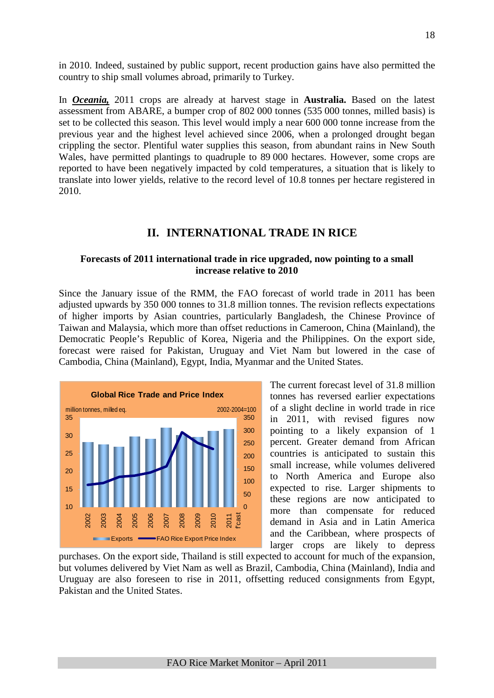in 2010. Indeed, sustained by public support, recent production gains have also permitted the country to ship small volumes abroad, primarily to Turkey.

In *Oceania,* 2011 crops are already at harvest stage in **Australia.** Based on the latest assessment from ABARE, a bumper crop of 802 000 tonnes (535 000 tonnes, milled basis) is set to be collected this season. This level would imply a near 600 000 tonne increase from the previous year and the highest level achieved since 2006, when a prolonged drought began crippling the sector. Plentiful water supplies this season, from abundant rains in New South Wales, have permitted plantings to quadruple to 89 000 hectares. However, some crops are reported to have been negatively impacted by cold temperatures, a situation that is likely to translate into lower yields, relative to the record level of 10.8 tonnes per hectare registered in 2010.

## **II. INTERNATIONAL TRADE IN RICE**

#### **Forecasts of 2011 international trade in rice upgraded, now pointing to a small increase relative to 2010**

Since the January issue of the RMM, the FAO forecast of world trade in 2011 has been adjusted upwards by 350 000 tonnes to 31.8 million tonnes. The revision reflects expectations of higher imports by Asian countries, particularly Bangladesh, the Chinese Province of Taiwan and Malaysia, which more than offset reductions in Cameroon, China (Mainland), the Democratic People's Republic of Korea, Nigeria and the Philippines. On the export side, forecast were raised for Pakistan, Uruguay and Viet Nam but lowered in the case of Cambodia, China (Mainland), Egypt, India, Myanmar and the United States.



The current forecast level of 31.8 million tonnes has reversed earlier expectations of a slight decline in world trade in rice in 2011, with revised figures now pointing to a likely expansion of 1 percent. Greater demand from African countries is anticipated to sustain this small increase, while volumes delivered to North America and Europe also expected to rise. Larger shipments to these regions are now anticipated to more than compensate for reduced demand in Asia and in Latin America and the Caribbean, where prospects of larger crops are likely to depress

purchases. On the export side, Thailand is still expected to account for much of the expansion, but volumes delivered by Viet Nam as well as Brazil, Cambodia, China (Mainland), India and Uruguay are also foreseen to rise in 2011, offsetting reduced consignments from Egypt, Pakistan and the United States.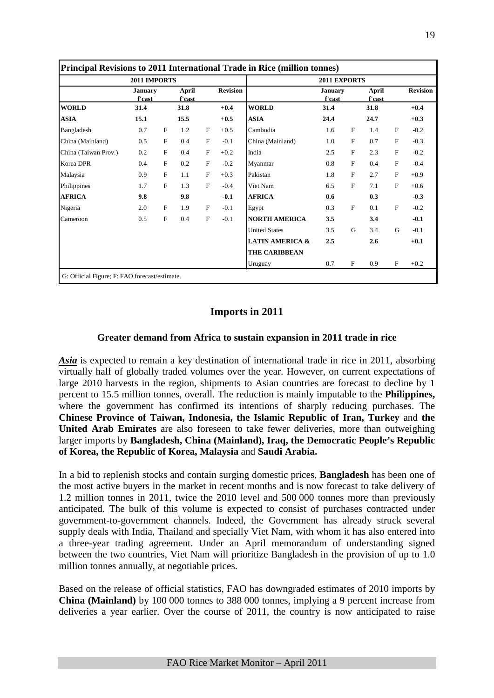|                      | 2011 IMPORTS             |             |                 |              |                 |                            | 2011 EXPORTS             |           |                 |                           |                 |
|----------------------|--------------------------|-------------|-----------------|--------------|-----------------|----------------------------|--------------------------|-----------|-----------------|---------------------------|-----------------|
|                      | <b>January</b><br>f'cast |             | April<br>f'cast |              | <b>Revision</b> |                            | <b>January</b><br>f'cast |           | April<br>f'cast |                           | <b>Revision</b> |
| <b>WORLD</b>         | 31.4                     |             | 31.8            |              | $+0.4$          | <b>WORLD</b>               | 31.4                     |           | 31.8            |                           | $+0.4$          |
| <b>ASIA</b>          | 15.1                     |             | 15.5            |              | $+0.5$          | <b>ASIA</b>                | 24.4                     |           | 24.7            |                           | $+0.3$          |
| Bangladesh           | 0.7                      | $\mathbf F$ | 1.2             | F            | $+0.5$          | Cambodia                   | 1.6                      | F         | 1.4             | $\boldsymbol{\mathrm{F}}$ | $-0.2$          |
| China (Mainland)     | 0.5                      | F           | 0.4             | F            | $-0.1$          | China (Mainland)           | 1.0                      | ${\bf F}$ | 0.7             | F                         | $-0.3$          |
| China (Taiwan Prov.) | 0.2                      | F           | 0.4             | F            | $+0.2$          | India                      | 2.5                      | F         | 2.3             | F                         | $-0.2$          |
| Korea DPR            | 0.4                      | F           | 0.2             | F            | $-0.2$          | Myanmar                    | 0.8                      | F         | 0.4             | F                         | $-0.4$          |
| Malaysia             | 0.9                      | F           | 1.1             | F            | $+0.3$          | Pakistan                   | 1.8                      | F         | 2.7             | F                         | $+0.9$          |
| Philippines          | 1.7                      | F           | 1.3             | F            | $-0.4$          | Viet Nam                   | 6.5                      | F         | 7.1             | F                         | $+0.6$          |
| <b>AFRICA</b>        | 9.8                      |             | 9.8             |              | $-0.1$          | <b>AFRICA</b>              | 0.6                      |           | 0.3             |                           | $-0.3$          |
| Nigeria              | 2.0                      | F           | 1.9             | $\mathbf{F}$ | $-0.1$          | Egypt                      | 0.3                      | F         | 0.1             | $\boldsymbol{\mathrm{F}}$ | $-0.2$          |
| Cameroon             | 0.5                      | $\mathbf F$ | 0.4             | F            | $-0.1$          | <b>NORTH AMERICA</b>       | 3.5                      |           | 3.4             |                           | $-0.1$          |
|                      |                          |             |                 |              |                 | <b>United States</b>       | 3.5                      | G         | 3.4             | G                         | $-0.1$          |
|                      |                          |             |                 |              |                 | <b>LATIN AMERICA &amp;</b> | 2.5                      |           | 2.6             |                           | $+0.1$          |
|                      |                          |             |                 |              |                 | <b>THE CARIBBEAN</b>       |                          |           |                 |                           |                 |
|                      |                          |             |                 |              |                 | Uruguay                    | 0.7                      | F         | 0.9             | ${\bf F}$                 | $+0.2$          |

# **Imports in 2011**

## **Greater demand from Africa to sustain expansion in 2011 trade in rice**

*Asia* is expected to remain a key destination of international trade in rice in 2011, absorbing virtually half of globally traded volumes over the year. However, on current expectations of large 2010 harvests in the region, shipments to Asian countries are forecast to decline by 1 percent to 15.5 million tonnes, overall. The reduction is mainly imputable to the **Philippines,**  where the government has confirmed its intentions of sharply reducing purchases. The **Chinese Province of Taiwan, Indonesia, the Islamic Republic of Iran, Turkey** and **the United Arab Emirates** are also foreseen to take fewer deliveries, more than outweighing larger imports by **Bangladesh, China (Mainland), Iraq, the Democratic People's Republic of Korea, the Republic of Korea, Malaysia** and **Saudi Arabia.** 

In a bid to replenish stocks and contain surging domestic prices, **Bangladesh** has been one of the most active buyers in the market in recent months and is now forecast to take delivery of 1.2 million tonnes in 2011, twice the 2010 level and 500 000 tonnes more than previously anticipated. The bulk of this volume is expected to consist of purchases contracted under government-to-government channels. Indeed, the Government has already struck several supply deals with India, Thailand and specially Viet Nam, with whom it has also entered into a three-year trading agreement. Under an April memorandum of understanding signed between the two countries, Viet Nam will prioritize Bangladesh in the provision of up to 1.0 million tonnes annually, at negotiable prices.

Based on the release of official statistics, FAO has downgraded estimates of 2010 imports by **China (Mainland)** by 100 000 tonnes to 388 000 tonnes, implying a 9 percent increase from deliveries a year earlier. Over the course of 2011, the country is now anticipated to raise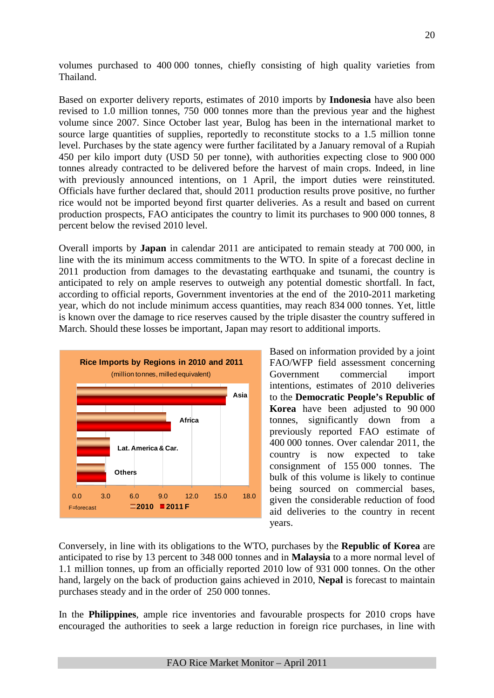volumes purchased to 400 000 tonnes, chiefly consisting of high quality varieties from Thailand.

Based on exporter delivery reports, estimates of 2010 imports by **Indonesia** have also been revised to 1.0 million tonnes, 750 000 tonnes more than the previous year and the highest volume since 2007. Since October last year, Bulog has been in the international market to source large quantities of supplies, reportedly to reconstitute stocks to a 1.5 million tonne level. Purchases by the state agency were further facilitated by a January removal of a Rupiah 450 per kilo import duty (USD 50 per tonne), with authorities expecting close to 900 000 tonnes already contracted to be delivered before the harvest of main crops. Indeed, in line with previously announced intentions, on 1 April, the import duties were reinstituted. Officials have further declared that, should 2011 production results prove positive, no further rice would not be imported beyond first quarter deliveries. As a result and based on current production prospects, FAO anticipates the country to limit its purchases to 900 000 tonnes, 8 percent below the revised 2010 level.

Overall imports by **Japan** in calendar 2011 are anticipated to remain steady at 700 000, in line with the its minimum access commitments to the WTO. In spite of a forecast decline in 2011 production from damages to the devastating earthquake and tsunami, the country is anticipated to rely on ample reserves to outweigh any potential domestic shortfall. In fact, according to official reports, Government inventories at the end of the 2010-2011 marketing year, which do not include minimum access quantities, may reach 834 000 tonnes. Yet, little is known over the damage to rice reserves caused by the triple disaster the country suffered in March. Should these losses be important, Japan may resort to additional imports.



Based on information provided by a joint FAO/WFP field assessment concerning Government commercial import intentions, estimates of 2010 deliveries to the **Democratic People's Republic of Korea** have been adjusted to 90 000 tonnes, significantly down from a previously reported FAO estimate of 400 000 tonnes. Over calendar 2011, the country is now expected to take consignment of 155 000 tonnes. The bulk of this volume is likely to continue being sourced on commercial bases, given the considerable reduction of food aid deliveries to the country in recent years.

Conversely, in line with its obligations to the WTO, purchases by the **Republic of Korea** are anticipated to rise by 13 percent to 348 000 tonnes and in **Malaysia** to a more normal level of 1.1 million tonnes, up from an officially reported 2010 low of 931 000 tonnes. On the other hand, largely on the back of production gains achieved in 2010, **Nepal** is forecast to maintain purchases steady and in the order of 250 000 tonnes.

In the **Philippines**, ample rice inventories and favourable prospects for 2010 crops have encouraged the authorities to seek a large reduction in foreign rice purchases, in line with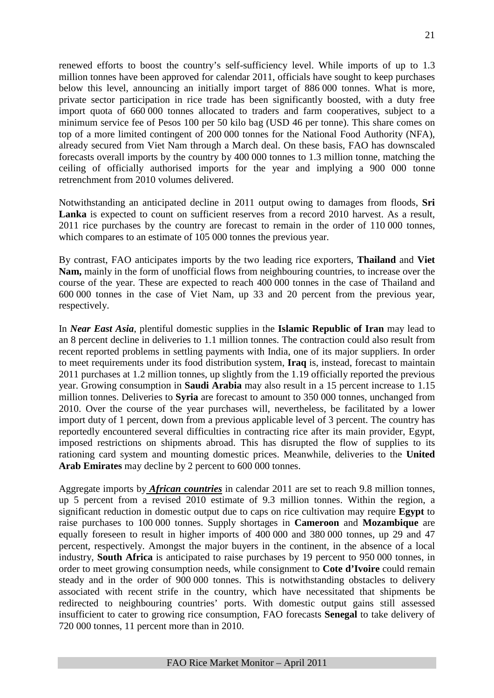renewed efforts to boost the country's self-sufficiency level. While imports of up to 1.3 million tonnes have been approved for calendar 2011, officials have sought to keep purchases below this level, announcing an initially import target of 886 000 tonnes. What is more, private sector participation in rice trade has been significantly boosted, with a duty free import quota of 660 000 tonnes allocated to traders and farm cooperatives, subject to a minimum service fee of Pesos 100 per 50 kilo bag (USD 46 per tonne). This share comes on top of a more limited contingent of 200 000 tonnes for the National Food Authority (NFA), already secured from Viet Nam through a March deal. On these basis, FAO has downscaled forecasts overall imports by the country by 400 000 tonnes to 1.3 million tonne, matching the ceiling of officially authorised imports for the year and implying a 900 000 tonne retrenchment from 2010 volumes delivered.

Notwithstanding an anticipated decline in 2011 output owing to damages from floods, **Sri**  Lanka is expected to count on sufficient reserves from a record 2010 harvest. As a result, 2011 rice purchases by the country are forecast to remain in the order of 110 000 tonnes, which compares to an estimate of 105 000 tonnes the previous year.

By contrast, FAO anticipates imports by the two leading rice exporters, **Thailand** and **Viet Nam,** mainly in the form of unofficial flows from neighbouring countries, to increase over the course of the year. These are expected to reach 400 000 tonnes in the case of Thailand and 600 000 tonnes in the case of Viet Nam, up 33 and 20 percent from the previous year, respectively.

In *Near East Asia*, plentiful domestic supplies in the **Islamic Republic of Iran** may lead to an 8 percent decline in deliveries to 1.1 million tonnes. The contraction could also result from recent reported problems in settling payments with India, one of its major suppliers. In order to meet requirements under its food distribution system, **Iraq** is, instead, forecast to maintain 2011 purchases at 1.2 million tonnes, up slightly from the 1.19 officially reported the previous year. Growing consumption in **Saudi Arabia** may also result in a 15 percent increase to 1.15 million tonnes. Deliveries to **Syria** are forecast to amount to 350 000 tonnes, unchanged from 2010. Over the course of the year purchases will, nevertheless, be facilitated by a lower import duty of 1 percent, down from a previous applicable level of 3 percent. The country has reportedly encountered several difficulties in contracting rice after its main provider, Egypt, imposed restrictions on shipments abroad. This has disrupted the flow of supplies to its rationing card system and mounting domestic prices. Meanwhile, deliveries to the **United Arab Emirates** may decline by 2 percent to 600 000 tonnes.

Aggregate imports by *African countries* in calendar 2011 are set to reach 9.8 million tonnes, up 5 percent from a revised 2010 estimate of 9.3 million tonnes. Within the region, a significant reduction in domestic output due to caps on rice cultivation may require **Egypt** to raise purchases to 100 000 tonnes. Supply shortages in **Cameroon** and **Mozambique** are equally foreseen to result in higher imports of 400 000 and 380 000 tonnes, up 29 and 47 percent, respectively. Amongst the major buyers in the continent, in the absence of a local industry, **South Africa** is anticipated to raise purchases by 19 percent to 950 000 tonnes, in order to meet growing consumption needs, while consignment to **Cote d'Ivoire** could remain steady and in the order of 900 000 tonnes. This is notwithstanding obstacles to delivery associated with recent strife in the country, which have necessitated that shipments be redirected to neighbouring countries' ports. With domestic output gains still assessed insufficient to cater to growing rice consumption, FAO forecasts **Senegal** to take delivery of 720 000 tonnes, 11 percent more than in 2010.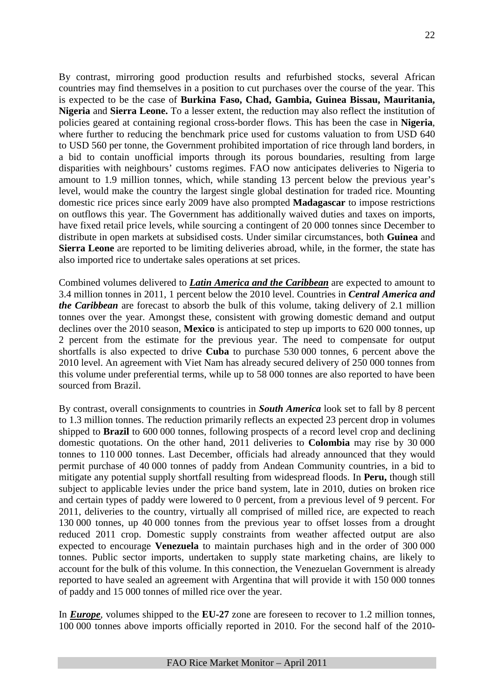By contrast, mirroring good production results and refurbished stocks, several African countries may find themselves in a position to cut purchases over the course of the year. This is expected to be the case of **Burkina Faso, Chad, Gambia, Guinea Bissau, Mauritania, Nigeria** and **Sierra Leone.** To a lesser extent, the reduction may also reflect the institution of policies geared at containing regional cross-border flows. This has been the case in **Nigeria**, where further to reducing the benchmark price used for customs valuation to from USD 640 to USD 560 per tonne, the Government prohibited importation of rice through land borders, in a bid to contain unofficial imports through its porous boundaries, resulting from large disparities with neighbours' customs regimes. FAO now anticipates deliveries to Nigeria to amount to 1.9 million tonnes, which, while standing 13 percent below the previous year's level, would make the country the largest single global destination for traded rice. Mounting domestic rice prices since early 2009 have also prompted **Madagascar** to impose restrictions on outflows this year. The Government has additionally waived duties and taxes on imports, have fixed retail price levels, while sourcing a contingent of 20 000 tonnes since December to distribute in open markets at subsidised costs. Under similar circumstances, both **Guinea** and **Sierra Leone** are reported to be limiting deliveries abroad, while, in the former, the state has also imported rice to undertake sales operations at set prices.

Combined volumes delivered to *Latin America and the Caribbean* are expected to amount to 3.4 million tonnes in 2011, 1 percent below the 2010 level. Countries in *Central America and the Caribbean* are forecast to absorb the bulk of this volume, taking delivery of 2.1 million tonnes over the year. Amongst these, consistent with growing domestic demand and output declines over the 2010 season, **Mexico** is anticipated to step up imports to 620 000 tonnes, up 2 percent from the estimate for the previous year. The need to compensate for output shortfalls is also expected to drive **Cuba** to purchase 530 000 tonnes, 6 percent above the 2010 level. An agreement with Viet Nam has already secured delivery of 250 000 tonnes from this volume under preferential terms, while up to 58 000 tonnes are also reported to have been sourced from Brazil.

By contrast, overall consignments to countries in *South America* look set to fall by 8 percent to 1.3 million tonnes. The reduction primarily reflects an expected 23 percent drop in volumes shipped to **Brazil** to 600 000 tonnes, following prospects of a record level crop and declining domestic quotations. On the other hand, 2011 deliveries to **Colombia** may rise by 30 000 tonnes to 110 000 tonnes. Last December, officials had already announced that they would permit purchase of 40 000 tonnes of paddy from Andean Community countries, in a bid to mitigate any potential supply shortfall resulting from widespread floods. In **Peru,** though still subject to applicable levies under the price band system, late in 2010, duties on broken rice and certain types of paddy were lowered to 0 percent, from a previous level of 9 percent. For 2011, deliveries to the country, virtually all comprised of milled rice, are expected to reach 130 000 tonnes, up 40 000 tonnes from the previous year to offset losses from a drought reduced 2011 crop. Domestic supply constraints from weather affected output are also expected to encourage **Venezuela** to maintain purchases high and in the order of 300 000 tonnes. Public sector imports, undertaken to supply state marketing chains, are likely to account for the bulk of this volume. In this connection, the Venezuelan Government is already reported to have sealed an agreement with Argentina that will provide it with 150 000 tonnes of paddy and 15 000 tonnes of milled rice over the year.

In *Europe*, volumes shipped to the **EU-27** zone are foreseen to recover to 1.2 million tonnes, 100 000 tonnes above imports officially reported in 2010. For the second half of the 2010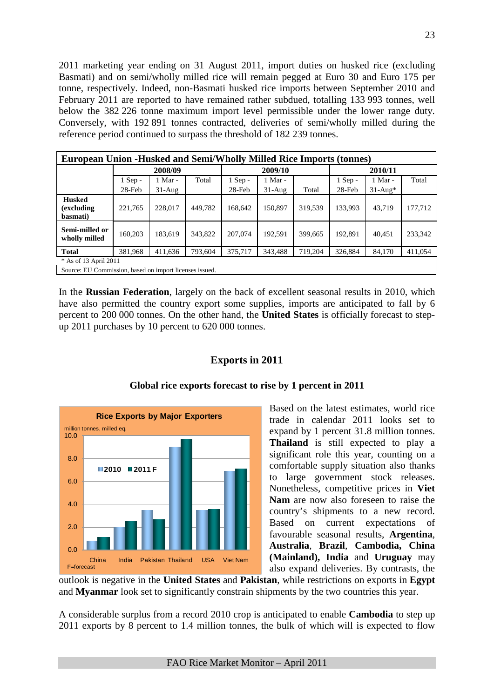2011 marketing year ending on 31 August 2011, import duties on husked rice (excluding Basmati) and on semi/wholly milled rice will remain pegged at Euro 30 and Euro 175 per tonne, respectively. Indeed, non-Basmati husked rice imports between September 2010 and February 2011 are reported to have remained rather subdued, totalling 133 993 tonnes, well below the 382 226 tonne maximum import level permissible under the lower range duty. Conversely, with 192 891 tonnes contracted, deliveries of semi/wholly milled during the reference period continued to surpass the threshold of 182 239 tonnes.

| <b>European Union -Husked and Semi/Wholly Milled Rice Imports (tonnes)</b> |                                                         |          |         |           |           |         |           |           |         |  |  |  |
|----------------------------------------------------------------------------|---------------------------------------------------------|----------|---------|-----------|-----------|---------|-----------|-----------|---------|--|--|--|
|                                                                            |                                                         | 2008/09  |         |           | 2009/10   |         |           | 2010/11   |         |  |  |  |
|                                                                            | Total<br>$1$ Sep -<br>1 Mar -                           |          |         |           | $1$ Mar - |         | $1$ Sep - | 1 Mar -   | Total   |  |  |  |
|                                                                            | $28$ -Feb                                               | $31-Aug$ |         | $28$ -Feb | $31-Aug$  | Total   | $28$ -Feb | $31-Au^*$ |         |  |  |  |
| <b>Husked</b><br>(excluding<br>basmati)                                    | 221,765                                                 | 228,017  | 449,782 | 168,642   | 150.897   | 319,539 | 133,993   | 43.719    | 177,712 |  |  |  |
| Semi-milled or<br>wholly milled                                            | 160.203                                                 | 183.619  | 343.822 | 207,074   | 192.591   | 399.665 | 192.891   | 40.451    | 233,342 |  |  |  |
| <b>Total</b>                                                               | 381,968                                                 | 411,636  | 793,604 | 375,717   | 343,488   | 719,204 | 326,884   | 84,170    | 411,054 |  |  |  |
|                                                                            | * As of 13 April 2011                                   |          |         |           |           |         |           |           |         |  |  |  |
|                                                                            | Source: EU Commission, based on import licenses issued. |          |         |           |           |         |           |           |         |  |  |  |

In the **Russian Federation**, largely on the back of excellent seasonal results in 2010, which have also permitted the country export some supplies, imports are anticipated to fall by 6 percent to 200 000 tonnes. On the other hand, the **United States** is officially forecast to stepup 2011 purchases by 10 percent to 620 000 tonnes.

## **Exports in 2011**



#### **Global rice exports forecast to rise by 1 percent in 2011**

Based on the latest estimates, world rice trade in calendar 2011 looks set to expand by 1 percent 31.8 million tonnes. **Thailand** is still expected to play a significant role this year, counting on a comfortable supply situation also thanks to large government stock releases. Nonetheless, competitive prices in **Viet Nam** are now also foreseen to raise the country's shipments to a new record. Based on current expectations of favourable seasonal results, **Argentina**, **Australia**, **Brazil**, **Cambodia, China (Mainland), India** and **Uruguay** may also expand deliveries. By contrasts, the

outlook is negative in the **United States** and **Pakistan**, while restrictions on exports in **Egypt** and **Myanmar** look set to significantly constrain shipments by the two countries this year.

A considerable surplus from a record 2010 crop is anticipated to enable **Cambodia** to step up 2011 exports by 8 percent to 1.4 million tonnes, the bulk of which will is expected to flow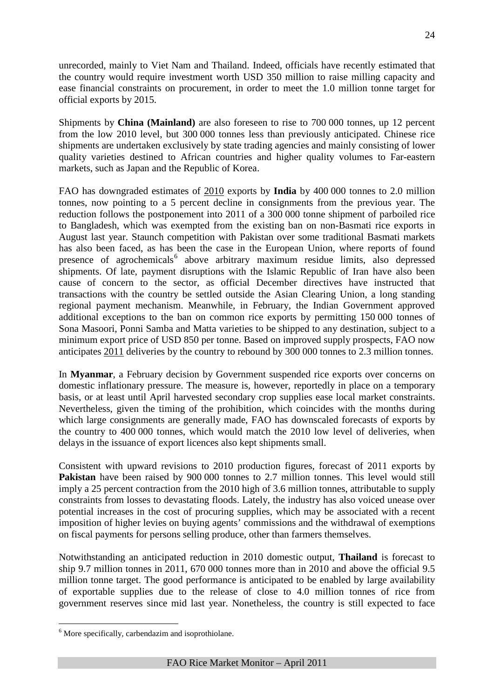unrecorded, mainly to Viet Nam and Thailand. Indeed, officials have recently estimated that the country would require investment worth USD 350 million to raise milling capacity and ease financial constraints on procurement, in order to meet the 1.0 million tonne target for official exports by 2015.

Shipments by **China (Mainland)** are also foreseen to rise to 700 000 tonnes, up 12 percent from the low 2010 level, but 300 000 tonnes less than previously anticipated. Chinese rice shipments are undertaken exclusively by state trading agencies and mainly consisting of lower quality varieties destined to African countries and higher quality volumes to Far-eastern markets, such as Japan and the Republic of Korea.

FAO has downgraded estimates of 2010 exports by **India** by 400 000 tonnes to 2.0 million tonnes, now pointing to a 5 percent decline in consignments from the previous year. The reduction follows the postponement into 2011 of a 300 000 tonne shipment of parboiled rice to Bangladesh, which was exempted from the existing ban on non-Basmati rice exports in August last year. Staunch competition with Pakistan over some traditional Basmati markets has also been faced, as has been the case in the European Union, where reports of found presence of agrochemicals<sup>[6](#page-7-0)</sup> above arbitrary maximum residue limits, also depressed shipments. Of late, payment disruptions with the Islamic Republic of Iran have also been cause of concern to the sector, as official December directives have instructed that transactions with the country be settled outside the Asian Clearing Union, a long standing regional payment mechanism. Meanwhile, in February, the Indian Government approved additional exceptions to the ban on common rice exports by permitting 150 000 tonnes of Sona Masoori, Ponni Samba and Matta varieties to be shipped to any destination, subject to a minimum export price of USD 850 per tonne. Based on improved supply prospects, FAO now anticipates 2011 deliveries by the country to rebound by 300 000 tonnes to 2.3 million tonnes.

In **Myanmar**, a February decision by Government suspended rice exports over concerns on domestic inflationary pressure. The measure is, however, reportedly in place on a temporary basis, or at least until April harvested secondary crop supplies ease local market constraints. Nevertheless, given the timing of the prohibition, which coincides with the months during which large consignments are generally made, FAO has downscaled forecasts of exports by the country to 400 000 tonnes, which would match the 2010 low level of deliveries, when delays in the issuance of export licences also kept shipments small.

Consistent with upward revisions to 2010 production figures, forecast of 2011 exports by **Pakistan** have been raised by 900 000 tonnes to 2.7 million tonnes. This level would still imply a 25 percent contraction from the 2010 high of 3.6 million tonnes, attributable to supply constraints from losses to devastating floods. Lately, the industry has also voiced unease over potential increases in the cost of procuring supplies, which may be associated with a recent imposition of higher levies on buying agents' commissions and the withdrawal of exemptions on fiscal payments for persons selling produce, other than farmers themselves.

Notwithstanding an anticipated reduction in 2010 domestic output, **Thailand** is forecast to ship 9.7 million tonnes in 2011, 670 000 tonnes more than in 2010 and above the official 9.5 million tonne target. The good performance is anticipated to be enabled by large availability of exportable supplies due to the release of close to 4.0 million tonnes of rice from government reserves since mid last year. Nonetheless, the country is still expected to face

<sup>&</sup>lt;sup>6</sup> More specifically, carbendazim and isoprothiolane.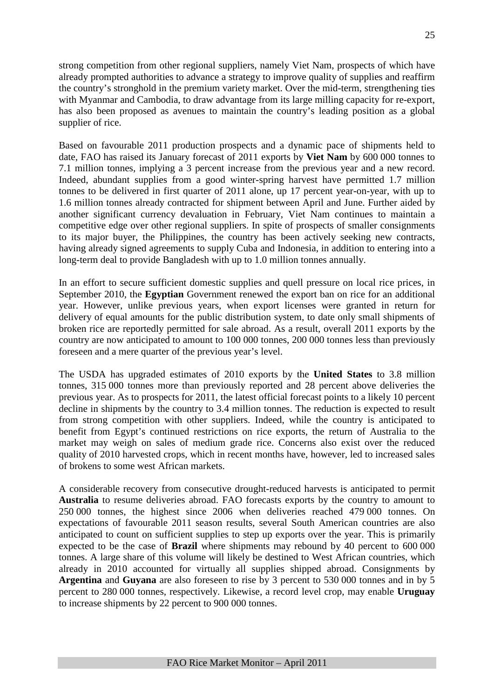strong competition from other regional suppliers, namely Viet Nam, prospects of which have already prompted authorities to advance a strategy to improve quality of supplies and reaffirm the country's stronghold in the premium variety market. Over the mid-term, strengthening ties with Myanmar and Cambodia, to draw advantage from its large milling capacity for re-export, has also been proposed as avenues to maintain the country's leading position as a global supplier of rice.

Based on favourable 2011 production prospects and a dynamic pace of shipments held to date, FAO has raised its January forecast of 2011 exports by **Viet Nam** by 600 000 tonnes to 7.1 million tonnes, implying a 3 percent increase from the previous year and a new record. Indeed, abundant supplies from a good winter-spring harvest have permitted 1.7 million tonnes to be delivered in first quarter of 2011 alone, up 17 percent year-on-year, with up to 1.6 million tonnes already contracted for shipment between April and June. Further aided by another significant currency devaluation in February, Viet Nam continues to maintain a competitive edge over other regional suppliers. In spite of prospects of smaller consignments to its major buyer, the Philippines, the country has been actively seeking new contracts, having already signed agreements to supply Cuba and Indonesia, in addition to entering into a long-term deal to provide Bangladesh with up to 1.0 million tonnes annually.

In an effort to secure sufficient domestic supplies and quell pressure on local rice prices, in September 2010, the **Egyptian** Government renewed the export ban on rice for an additional year. However, unlike previous years, when export licenses were granted in return for delivery of equal amounts for the public distribution system, to date only small shipments of broken rice are reportedly permitted for sale abroad. As a result, overall 2011 exports by the country are now anticipated to amount to 100 000 tonnes, 200 000 tonnes less than previously foreseen and a mere quarter of the previous year's level.

The USDA has upgraded estimates of 2010 exports by the **United States** to 3.8 million tonnes, 315 000 tonnes more than previously reported and 28 percent above deliveries the previous year. As to prospects for 2011, the latest official forecast points to a likely 10 percent decline in shipments by the country to 3.4 million tonnes. The reduction is expected to result from strong competition with other suppliers. Indeed, while the country is anticipated to benefit from Egypt's continued restrictions on rice exports, the return of Australia to the market may weigh on sales of medium grade rice. Concerns also exist over the reduced quality of 2010 harvested crops, which in recent months have, however, led to increased sales of brokens to some west African markets.

A considerable recovery from consecutive drought-reduced harvests is anticipated to permit **Australia** to resume deliveries abroad. FAO forecasts exports by the country to amount to 250 000 tonnes, the highest since 2006 when deliveries reached 479 000 tonnes. On expectations of favourable 2011 season results, several South American countries are also anticipated to count on sufficient supplies to step up exports over the year. This is primarily expected to be the case of **Brazil** where shipments may rebound by 40 percent to 600 000 tonnes. A large share of this volume will likely be destined to West African countries, which already in 2010 accounted for virtually all supplies shipped abroad. Consignments by **Argentina** and **Guyana** are also foreseen to rise by 3 percent to 530 000 tonnes and in by 5 percent to 280 000 tonnes, respectively. Likewise, a record level crop, may enable **Uruguay**  to increase shipments by 22 percent to 900 000 tonnes.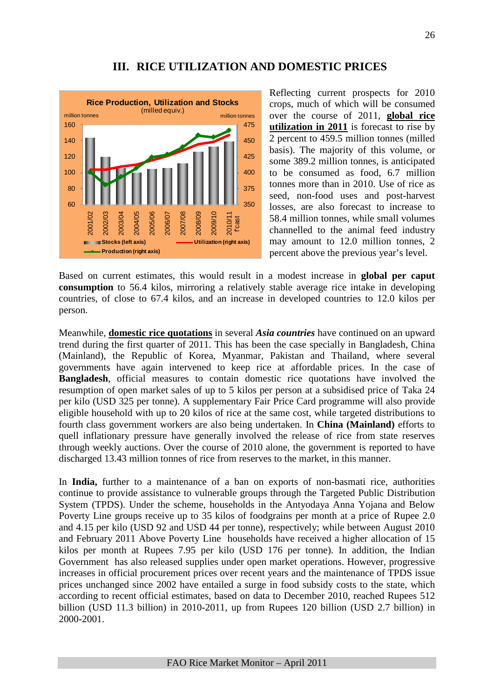## **III. RICE UTILIZATION AND DOMESTIC PRICES**



Reflecting current prospects for 2010 crops, much of which will be consumed over the course of 2011, **global rice utilization in 2011** is forecast to rise by 2 percent to 459.5 million tonnes (milled basis). The majority of this volume, or some 389.2 million tonnes, is anticipated to be consumed as food, 6.7 million tonnes more than in 2010. Use of rice as seed, non-food uses and post-harvest losses, are also forecast to increase to 58.4 million tonnes, while small volumes channelled to the animal feed industry may amount to 12.0 million tonnes, 2 percent above the previous year's level.

Based on current estimates, this would result in a modest increase in **global per caput consumption** to 56.4 kilos, mirroring a relatively stable average rice intake in developing countries, of close to 67.4 kilos, and an increase in developed countries to 12.0 kilos per person.

Meanwhile, **domestic rice quotations** in several *Asia countries* have continued on an upward trend during the first quarter of 2011. This has been the case specially in Bangladesh, China (Mainland), the Republic of Korea, Myanmar, Pakistan and Thailand, where several governments have again intervened to keep rice at affordable prices. In the case of **Bangladesh**, official measures to contain domestic rice quotations have involved the resumption of open market sales of up to 5 kilos per person at a subsidised price of Taka 24 per kilo (USD 325 per tonne). A supplementary Fair Price Card programme will also provide eligible household with up to 20 kilos of rice at the same cost, while targeted distributions to fourth class government workers are also being undertaken. In **China (Mainland)** efforts to quell inflationary pressure have generally involved the release of rice from state reserves through weekly auctions. Over the course of 2010 alone, the government is reported to have discharged 13.43 million tonnes of rice from reserves to the market, in this manner.

In **India,** further to a maintenance of a ban on exports of non-basmati rice, authorities continue to provide assistance to vulnerable groups through the Targeted Public Distribution System (TPDS). Under the scheme, households in the Antyodaya Anna Yojana and Below Poverty Line groups receive up to 35 kilos of foodgrains per month at a price of Rupee 2.0 and 4.15 per kilo (USD 92 and USD 44 per tonne), respectively; while between August 2010 and February 2011 Above Poverty Line households have received a higher allocation of 15 kilos per month at Rupees 7.95 per kilo (USD 176 per tonne). In addition, the Indian Government has also released supplies under open market operations. However, progressive increases in official procurement prices over recent years and the maintenance of TPDS issue prices unchanged since 2002 have entailed a surge in food subsidy costs to the state, which according to recent official estimates, based on data to December 2010, reached Rupees 512 billion (USD 11.3 billion) in 2010-2011, up from Rupees 120 billion (USD 2.7 billion) in 2000-2001.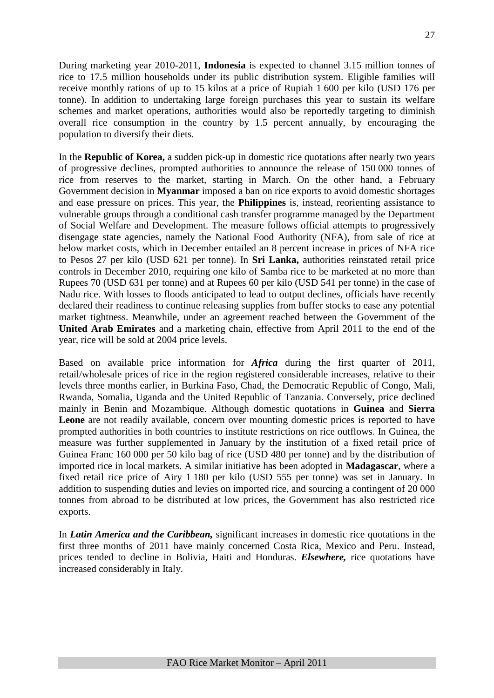During marketing year 2010-2011, **Indonesia** is expected to channel 3.15 million tonnes of rice to 17.5 million households under its public distribution system. Eligible families will receive monthly rations of up to 15 kilos at a price of Rupiah 1 600 per kilo (USD 176 per tonne). In addition to undertaking large foreign purchases this year to sustain its welfare schemes and market operations, authorities would also be reportedly targeting to diminish overall rice consumption in the country by 1.5 percent annually, by encouraging the population to diversify their diets.

In the **Republic of Korea,** a sudden pick-up in domestic rice quotations after nearly two years of progressive declines, prompted authorities to announce the release of 150 000 tonnes of rice from reserves to the market, starting in March. On the other hand, a February Government decision in **Myanmar** imposed a ban on rice exports to avoid domestic shortages and ease pressure on prices. This year, the **Philippines** is, instead, reorienting assistance to vulnerable groups through a conditional cash transfer programme managed by the Department of Social Welfare and Development. The measure follows official attempts to progressively disengage state agencies, namely the National Food Authority (NFA), from sale of rice at below market costs, which in December entailed an 8 percent increase in prices of NFA rice to Pesos 27 per kilo (USD 621 per tonne). In **Sri Lanka,** authorities reinstated retail price controls in December 2010, requiring one kilo of Samba rice to be marketed at no more than Rupees 70 (USD 631 per tonne) and at Rupees 60 per kilo (USD 541 per tonne) in the case of Nadu rice. With losses to floods anticipated to lead to output declines, officials have recently declared their readiness to continue releasing supplies from buffer stocks to ease any potential market tightness. Meanwhile, under an agreement reached between the Government of the **United Arab Emirates** and a marketing chain, effective from April 2011 to the end of the year, rice will be sold at 2004 price levels.

Based on available price information for *Africa* during the first quarter of 2011, retail/wholesale prices of rice in the region registered considerable increases, relative to their levels three months earlier, in Burkina Faso, Chad, the Democratic Republic of Congo, Mali, Rwanda, Somalia, Uganda and the United Republic of Tanzania. Conversely, price declined mainly in Benin and Mozambique. Although domestic quotations in **Guinea** and **Sierra**  Leone are not readily available, concern over mounting domestic prices is reported to have prompted authorities in both countries to institute restrictions on rice outflows. In Guinea, the measure was further supplemented in January by the institution of a fixed retail price of Guinea Franc 160 000 per 50 kilo bag of rice (USD 480 per tonne) and by the distribution of imported rice in local markets. A similar initiative has been adopted in **Madagascar**, where a fixed retail rice price of Airy 1 180 per kilo (USD 555 per tonne) was set in January. In addition to suspending duties and levies on imported rice, and sourcing a contingent of 20 000 tonnes from abroad to be distributed at low prices, the Government has also restricted rice exports.

In *Latin America and the Caribbean,* significant increases in domestic rice quotations in the first three months of 2011 have mainly concerned Costa Rica, Mexico and Peru. Instead, prices tended to decline in Bolivia, Haiti and Honduras. *Elsewhere,* rice quotations have increased considerably in Italy.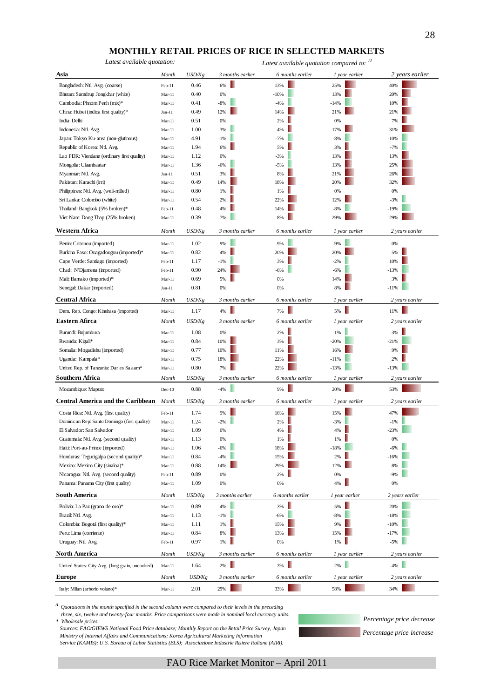#### **MONTHLY RETAIL PRICES OF RICE IN SELECTED MARKETS**

*Latest available quotation: Latest available quotation compared to: /1*

| Asia                                                                                  | Month    | USD/Kg | 3 months earlier | 6 months earlier | 1 year earlier | 2 years earlier |
|---------------------------------------------------------------------------------------|----------|--------|------------------|------------------|----------------|-----------------|
| Bangladesh: Ntl. Avg. (coarse)                                                        | Feb-11   | 0.46   | 6%               | 13%              | 25%            | 40%             |
| Bhutan: Samdrup Jongkhar (white)                                                      | $Mar-11$ | 0.40   | 0%               | $-10%$           | 13%            | 20%             |
| Cambodia: Phnom Penh (mix)*                                                           | $Mar-11$ | 0.41   | $-8%$            | $-4%$            | $-14%$         | 10%             |
| China: Hubei (indica first quality)*                                                  | $Jan-11$ | 0.49   | 12%              | 14%              | 21%            | 21%             |
| India: Delhi                                                                          | $Mar-11$ | 0.51   | 0%               | 2%               | 0%             | 7%              |
| Indonesia: Ntl. Avg.                                                                  | $Mar-11$ | 1.00   | $-3%$            | 4%               | 17%            | 31%             |
| Japan: Tokyo Ku-area (non-glutinous)                                                  | $Mar-11$ | 4.91   | $-1%$            | $-7%$            | $-8%$          | $-10%$          |
| Republic of Korea: Ntl. Avg.                                                          | $Mar-11$ | 1.94   | 6%               | 5%               | 3%             | $-7%$           |
| Lao PDR: Vientiane (ordinary first quality)                                           | $Mar-11$ | 1.12   | 0%               | $-3%$            | 13%            | 13%             |
| Mongolia: Ulaanbaatar                                                                 | $Mar-11$ | 1.36   | $-6%$            | $-5%$            | 13%            | 25%             |
| Myanmar: Ntl. Avg.                                                                    | $Jan-11$ | 0.51   | 3%               | 8%               | 21%            | 26%             |
| Pakistan: Karachi (irri)                                                              | $Mar-11$ | 0.49   | 14%              | 18%              | 20%            | 32%             |
| Philippines: Ntl. Avg. (well-milled)                                                  | $Mar-11$ | 0.80   | 1%               | 1%               | 0%             | 0%              |
| Sri Lanka: Colombo (white)                                                            | $Mar-11$ | 0.54   | 2%               | 22%              | 12%            | $-3%$           |
| Thailand: Bangkok (5% broken)*                                                        | Feb-11   | 0.48   | 4%               | 14%              | $-8%$          | $-19%$          |
| Viet Nam: Dong Thap (25% broken)                                                      | $Mar-11$ | 0.39   | $-7%$            | 8%               | 29%            | 29%             |
| Western Africa                                                                        | Month    | USD/Kg | 3 months earlier | 6 months earlier | 1 year earlier | 2 years earlier |
| Benin: Cotonou (imported)                                                             | $Mar-11$ | 1.02   | $-9%$            | $-9%$            | $-9%$          | 0%              |
| Burkina Faso: Ouagadougou (imported)*                                                 | $Mar-11$ | 0.82   | 4%               | 20%              | 20%            | 5%              |
| Cape Verde: Santiago (imported)                                                       | Feb-11   | 1.17   | $-1%$            | 3%               | $-2%$          | 10%             |
| Chad: N'Djamena (imported)                                                            | Feb-11   | 0.90   | 24%              | $-6%$            | $-6%$          | $-13%$          |
| Mali: Bamako (imported)*                                                              | $Mar-11$ | 0.69   | 5%               | 0%               | 14%            | 3%              |
| Senegal: Dakar (imported)                                                             | $Jan-11$ | 0.81   | 0%               | 0%               | 8%             | $-11%$          |
| <b>Central Africa</b>                                                                 | Month    | USD/Kg | 3 months earlier | 6 months earlier | 1 year earlier | 2 years earlier |
| Dem. Rep. Congo: Kinshasa (imported)                                                  | $Mar-11$ | 1.17   | 4%               | 7%               | 5%             | 11%             |
| Eastern Afirca                                                                        | Month    | USD/Kg | 3 months earlier | 6 months earlier | 1 year earlier | 2 years earlier |
| Burundi: Bujumbura                                                                    | $Mar-11$ | 1.08   | 0%               | 2%               | $-1%$          | 3%              |
| Rwanda: Kigali*                                                                       | $Mar-11$ | 0.84   | 10%              | 3%               | $-20%$         | $-21%$          |
| Somalia: Mogadishu (imported)                                                         | $Mar-11$ | 0.77   | 10%              | 11%              | 16%            | 9%              |
| Uganda: Kampala*                                                                      | $Mar-11$ | 0.75   | 18%              | 22%              | $-11%$         | 2%              |
| United Rep. of Tanzania: Dar es Salaam*                                               | $Mar-11$ | 0.80   | 7%               | 22%              | $-13%$         | $-13%$          |
| Southern Africa                                                                       | Month    | USD/Kg | 3 months earlier | 6 months earlier | 1 year earlier | 2 years earlier |
| Mozambique: Maputo                                                                    | $Dec-10$ | 0.88   | $-4%$            | 9%               | 20%            | 53%             |
| <b>Central America and the Caribbean</b>                                              | Month    | USD/Kg | 3 months earlier | 6 months earlier | 1 year earlier | 2 years earlier |
|                                                                                       | Feb-11   | 1.74   | 9%               | 16%              | 15%            | 47%             |
| Costa Rica: Ntl. Avg. (first quality)<br>Dominican Rep: Santo Domingo (first quality) | $Mar-11$ | 1.24   | $-2%$            | 2%               | $-3%$          | $-1%$           |
| El Salvador: San Salvador                                                             | $Mar-11$ | 1.09   | 0%               | 4%               | 4%             | $-23%$          |
| Guatemala: Ntl. Avg. (second quality)                                                 | Mar-11   | 1.13   | 0%               | 1%               | 1%             | 0%              |
| Haiti: Port-au-Prince (imported)                                                      | $Mar-11$ | 1.06   | $-6%$            | 18%              | -18%           | $-6%$           |
| Honduras: Tegucigalpa (second quality)*                                               | $Mar-11$ | 0.84   | $-4%$            | 15%              | 2%             | $-16%$          |
| Mexico: Mexico City (sinaloa)*                                                        | $Mar-11$ | 0.88   | 14%              | 29%              | 12%            | $-8%$           |
| Nicaragua: Ntl. Avg. (second quality)                                                 | Feb-11   | 0.89   | $0\%$            | 2%               | $0\%$          | $-9%$           |
| Panama: Panama City (first quality)                                                   | $Mar-11$ | 1.09   | $0\%$            | $0\%$            | 4%<br>ш        | 0%              |
| <b>South America</b>                                                                  | Month    | USD/Kg | 3 months earlier | 6 months earlier | 1 year earlier | 2 years earlier |
| Bolivia: La Paz (grano de oro)*                                                       | $Mar-11$ | 0.89   | $-4%$            | 3%               | 5%             | $-20%$          |
| Brazil: Ntl. Avg.                                                                     | $Mar-11$ | 1.13   | $-1%$            | $-6%$            | $-8%$          | $-18%$          |
| Colombia: Bogotá (first quality)*                                                     | $Mar-11$ | 1.11   | 1%               | 15%              | 9%             | $-10%$          |
| Peru: Lima (corriente)                                                                | $Mar-11$ | 0.84   | $8\%$            | 13%              | 15%            | $-17%$          |
| Uruguay: Ntl. Avg.                                                                    | Feb-11   | 0.97   | 1%               | $0\%$            | 1%             | $-5%$           |
| <b>North America</b>                                                                  | Month    | USD/Kg | 3 months earlier | 6 months earlier | 1 year earlier | 2 years earlier |
| United States: City Avg. (long grain, uncooked)                                       | $Mar-11$ | 1.64   | $2\%$            | $3\%$            | $-2\%$         | $-4\%$          |
| <b>Europe</b>                                                                         | Month    | USD/Kg | 3 months earlier | 6 months earlier | 1 year earlier | 2 years earlier |
| Italy: Milan (arborio volano)*                                                        | $Mar-11$ | 2.01   | 29%              | 33%              | 58%            | 34%             |

*/1 Quotations in the month specified in the second column were compared to their levels in the preceding* 

 *three, six, twelve and twenty-four months. Price comparisons were made in nominal local currency units. \* Wholesale prices.*

 *Sources: FAO/GIEWS National Food Price database; Monthly Report on the Retail Price Survey, Japan Ministry of Internal Affairs and Communications; Korea Agricultural Marketing Information Service (KAMIS); U.S. Bureau of Labor Statistics (BLS); Associazione Industrie Risiere Italiane (AIRI).*

*Percentage price increase Percentage price decrease*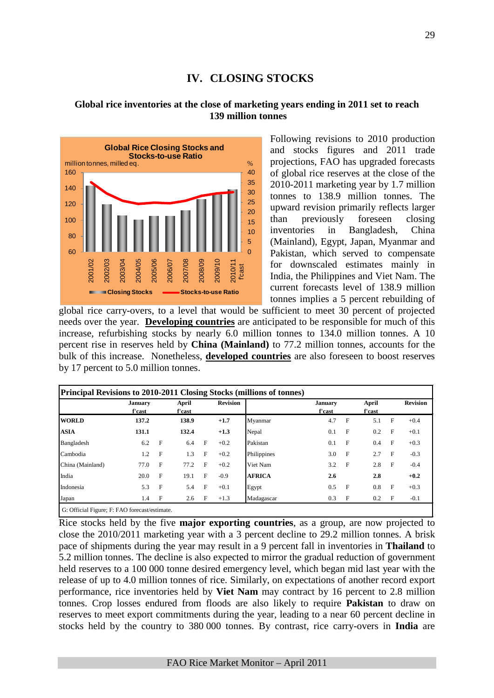# **IV. CLOSING STOCKS**

#### **Global rice inventories at the close of marketing years ending in 2011 set to reach 139 million tonnes**



Following revisions to 2010 production and stocks figures and 2011 trade projections, FAO has upgraded forecasts of global rice reserves at the close of the 2010-2011 marketing year by 1.7 million tonnes to 138.9 million tonnes. The upward revision primarily reflects larger than previously foreseen closing inventories in Bangladesh, China (Mainland), Egypt, Japan, Myanmar and Pakistan, which served to compensate for downscaled estimates mainly in India, the Philippines and Viet Nam. The current forecasts level of 138.9 million tonnes implies a 5 percent rebuilding of

global rice carry-overs, to a level that would be sufficient to meet 30 percent of projected needs over the year. **Developing countries** are anticipated to be responsible for much of this increase, refurbishing stocks by nearly 6.0 million tonnes to 134.0 million tonnes. A 10 percent rise in reserves held by **China (Mainland)** to 77.2 million tonnes, accounts for the bulk of this increase. Nonetheless, **developed countries** are also foreseen to boost reserves by 17 percent to 5.0 million tonnes.

|                  | <b>January</b><br>f'cast |              | April<br>f'cast |   | <b>Revision</b> |               | January<br>f'cast |   | April<br>f'cast |   | <b>Revision</b> |
|------------------|--------------------------|--------------|-----------------|---|-----------------|---------------|-------------------|---|-----------------|---|-----------------|
| <b>WORLD</b>     | 137.2                    |              | 138.9           |   | $+1.7$          | Myanmar       | 4.7               | F | 5.1             | F | $+0.4$          |
| <b>ASIA</b>      | 131.1                    |              | 132.4           |   | $+1.3$          | Nepal         | 0.1               | F | 0.2             | F | $+0.1$          |
| Bangladesh       | 6.2                      | $\mathbf{F}$ | 6.4             | F | $+0.2$          | Pakistan      | 0.1               | F | 0.4             | F | $+0.3$          |
| Cambodia         | 1.2                      | $\mathbf{F}$ | 1.3             | F | $+0.2$          | Philippines   | 3.0               | F | 2.7             | F | $-0.3$          |
| China (Mainland) | 77.0                     | F            | 77.2            | F | $+0.2$          | Viet Nam      | 3.2               | F | 2.8             | F | $-0.4$          |
| India            | 20.0                     | $\mathbf{F}$ | 19.1            | F | $-0.9$          | <b>AFRICA</b> | 2.6               |   | 2.8             |   | $+0.2$          |
| Indonesia        | 5.3                      | $\mathbf{F}$ | 5.4             | F | $+0.1$          | Egypt         | 0.5               | F | 0.8             | F | $+0.3$          |
| Japan            | 1.4                      | $\mathbf{F}$ | 2.6             | F | $+1.3$          | Madagascar    | 0.3               | F | 0.2             | F | $-0.1$          |

Rice stocks held by the five **major exporting countries**, as a group, are now projected to close the 2010/2011 marketing year with a 3 percent decline to 29.2 million tonnes. A brisk pace of shipments during the year may result in a 9 percent fall in inventories in **Thailand** to 5.2 million tonnes. The decline is also expected to mirror the gradual reduction of government held reserves to a 100 000 tonne desired emergency level, which began mid last year with the release of up to 4.0 million tonnes of rice. Similarly, on expectations of another record export performance, rice inventories held by **Viet Nam** may contract by 16 percent to 2.8 million tonnes. Crop losses endured from floods are also likely to require **Pakistan** to draw on reserves to meet export commitments during the year, leading to a near 60 percent decline in stocks held by the country to 380 000 tonnes. By contrast, rice carry-overs in **India** are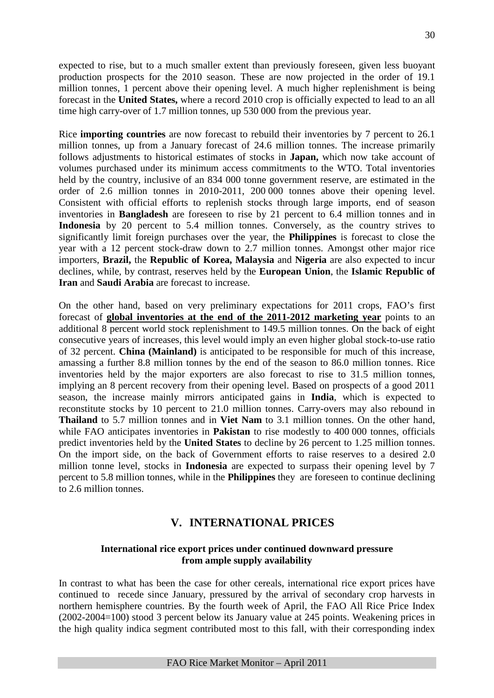expected to rise, but to a much smaller extent than previously foreseen, given less buoyant production prospects for the 2010 season. These are now projected in the order of 19.1 million tonnes, 1 percent above their opening level. A much higher replenishment is being forecast in the **United States,** where a record 2010 crop is officially expected to lead to an all time high carry-over of 1.7 million tonnes, up 530 000 from the previous year.

Rice **importing countries** are now forecast to rebuild their inventories by 7 percent to 26.1 million tonnes, up from a January forecast of 24.6 million tonnes. The increase primarily follows adjustments to historical estimates of stocks in **Japan,** which now take account of volumes purchased under its minimum access commitments to the WTO. Total inventories held by the country, inclusive of an 834 000 tonne government reserve, are estimated in the order of 2.6 million tonnes in 2010-2011, 200 000 tonnes above their opening level. Consistent with official efforts to replenish stocks through large imports, end of season inventories in **Bangladesh** are foreseen to rise by 21 percent to 6.4 million tonnes and in Indonesia by 20 percent to 5.4 million tonnes. Conversely, as the country strives to significantly limit foreign purchases over the year, the **Philippines** is forecast to close the year with a 12 percent stock-draw down to 2.7 million tonnes. Amongst other major rice importers, **Brazil,** the **Republic of Korea, Malaysia** and **Nigeria** are also expected to incur declines, while, by contrast, reserves held by the **European Union**, the **Islamic Republic of Iran** and **Saudi Arabia** are forecast to increase.

On the other hand, based on very preliminary expectations for 2011 crops, FAO's first forecast of **global inventories at the end of the 2011-2012 marketing year** points to an additional 8 percent world stock replenishment to 149.5 million tonnes. On the back of eight consecutive years of increases, this level would imply an even higher global stock-to-use ratio of 32 percent. **China (Mainland)** is anticipated to be responsible for much of this increase, amassing a further 8.8 million tonnes by the end of the season to 86.0 million tonnes. Rice inventories held by the major exporters are also forecast to rise to 31.5 million tonnes, implying an 8 percent recovery from their opening level. Based on prospects of a good 2011 season, the increase mainly mirrors anticipated gains in **India**, which is expected to reconstitute stocks by 10 percent to 21.0 million tonnes. Carry-overs may also rebound in **Thailand** to 5.7 million tonnes and in **Viet Nam** to 3.1 million tonnes. On the other hand, while FAO anticipates inventories in **Pakistan** to rise modestly to 400 000 tonnes, officials predict inventories held by the **United States** to decline by 26 percent to 1.25 million tonnes. On the import side, on the back of Government efforts to raise reserves to a desired 2.0 million tonne level, stocks in **Indonesia** are expected to surpass their opening level by 7 percent to 5.8 million tonnes, while in the **Philippines** they are foreseen to continue declining to 2.6 million tonnes.

## **V. INTERNATIONAL PRICES**

#### **International rice export prices under continued downward pressure from ample supply availability**

In contrast to what has been the case for other cereals, international rice export prices have continued to recede since January, pressured by the arrival of secondary crop harvests in northern hemisphere countries. By the fourth week of April, the FAO All Rice Price Index (2002-2004=100) stood 3 percent below its January value at 245 points. Weakening prices in the high quality indica segment contributed most to this fall, with their corresponding index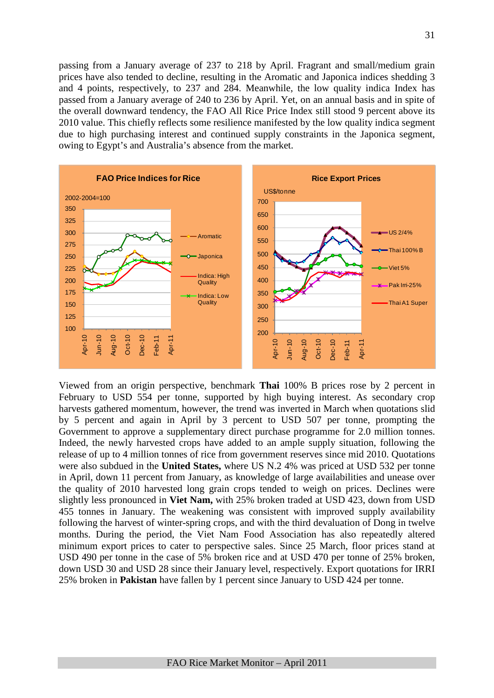passing from a January average of 237 to 218 by April. Fragrant and small/medium grain prices have also tended to decline, resulting in the Aromatic and Japonica indices shedding 3 and 4 points, respectively, to 237 and 284. Meanwhile, the low quality indica Index has passed from a January average of 240 to 236 by April. Yet, on an annual basis and in spite of the overall downward tendency, the FAO All Rice Price Index still stood 9 percent above its 2010 value. This chiefly reflects some resilience manifested by the low quality indica segment due to high purchasing interest and continued supply constraints in the Japonica segment, owing to Egypt's and Australia's absence from the market.



Viewed from an origin perspective, benchmark **Thai** 100% B prices rose by 2 percent in February to USD 554 per tonne, supported by high buying interest. As secondary crop harvests gathered momentum, however, the trend was inverted in March when quotations slid by 5 percent and again in April by 3 percent to USD 507 per tonne, prompting the Government to approve a supplementary direct purchase programme for 2.0 million tonnes. Indeed, the newly harvested crops have added to an ample supply situation, following the release of up to 4 million tonnes of rice from government reserves since mid 2010. Quotations were also subdued in the **United States,** where US N.2 4% was priced at USD 532 per tonne in April, down 11 percent from January, as knowledge of large availabilities and unease over the quality of 2010 harvested long grain crops tended to weigh on prices. Declines were slightly less pronounced in **Viet Nam,** with 25% broken traded at USD 423, down from USD 455 tonnes in January. The weakening was consistent with improved supply availability following the harvest of winter-spring crops, and with the third devaluation of Dong in twelve months. During the period, the Viet Nam Food Association has also repeatedly altered minimum export prices to cater to perspective sales. Since 25 March, floor prices stand at USD 490 per tonne in the case of 5% broken rice and at USD 470 per tonne of 25% broken, down USD 30 and USD 28 since their January level, respectively. Export quotations for IRRI 25% broken in **Pakistan** have fallen by 1 percent since January to USD 424 per tonne.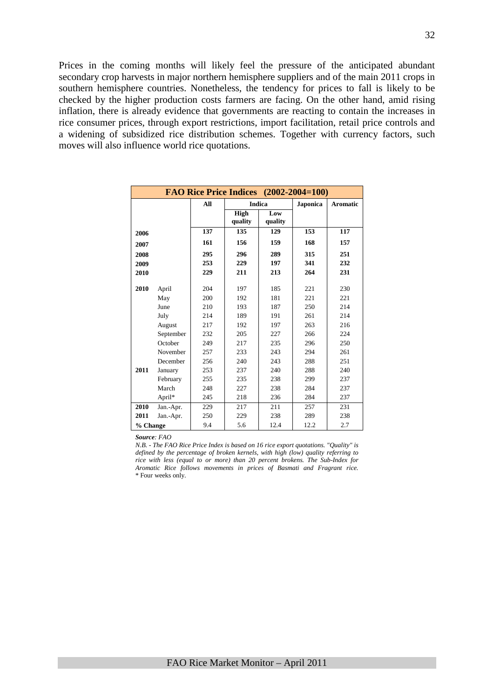Prices in the coming months will likely feel the pressure of the anticipated abundant secondary crop harvests in major northern hemisphere suppliers and of the main 2011 crops in southern hemisphere countries. Nonetheless, the tendency for prices to fall is likely to be checked by the higher production costs farmers are facing. On the other hand, amid rising inflation, there is already evidence that governments are reacting to contain the increases in rice consumer prices, through export restrictions, import facilitation, retail price controls and a widening of subsidized rice distribution schemes. Together with currency factors, such moves will also influence world rice quotations.

|          |           |     |                        |                | FAO Rice Price Indices (2002-2004=100) |                 |
|----------|-----------|-----|------------------------|----------------|----------------------------------------|-----------------|
|          |           | All | <b>Indica</b>          |                | <b>Japonica</b>                        | <b>Aromatic</b> |
|          |           |     | <b>High</b><br>quality | Low<br>quality |                                        |                 |
| 2006     |           | 137 | 135                    | 129            | 153                                    | 117             |
| 2007     |           | 161 | 156                    | 159            | 168                                    | 157             |
| 2008     |           | 295 | 296                    | 289            | 315                                    | 251             |
| 2009     |           | 253 | 229                    | 197            | 341                                    | 232             |
| 2010     |           | 229 | 211                    | 213            | 264                                    | 231             |
| 2010     | April     | 204 | 197                    | 185            | 221                                    | 230             |
|          | May       | 200 | 192                    | 181            | 221                                    | 221             |
|          | June      | 210 | 193                    | 187            | 250                                    | 214             |
|          | July      | 214 | 189                    | 191            | 261                                    | 214             |
|          | August    | 217 | 192                    | 197            | 263                                    | 216             |
|          | September | 232 | 205                    | 227            | 266                                    | 224             |
|          | October   | 249 | 217                    | 235            | 296                                    | 250             |
|          | November  | 257 | 233                    | 243            | 294                                    | 261             |
|          | December  | 256 | 240                    | 243            | 288                                    | 251             |
| 2011     | January   | 253 | 237                    | 240            | 288                                    | 240             |
|          | February  | 255 | 235                    | 238            | 299                                    | 237             |
|          | March     | 248 | 227                    | 238            | 284                                    | 237             |
|          | April*    | 245 | 218                    | 236            | 284                                    | 237             |
| 2010     | Jan.-Apr. | 229 | 217                    | 211            | 257                                    | 231             |
| 2011     | Jan.-Apr. | 250 | 229                    | 238            | 289                                    | 238             |
| % Change |           | 9.4 | 5.6                    | 12.4           | 12.2                                   | 2.7             |

*Source: FAO* 

*N.B. - The FAO Rice Price Index is based on 16 rice export quotations. "Quality" is defined by the percentage of broken kernels, with high (low) quality referring to rice with less (equal to or more) than 20 percent brokens. The Sub-Index for Aromatic Rice follows movements in prices of Basmati and Fragrant rice.* \* Four weeks only.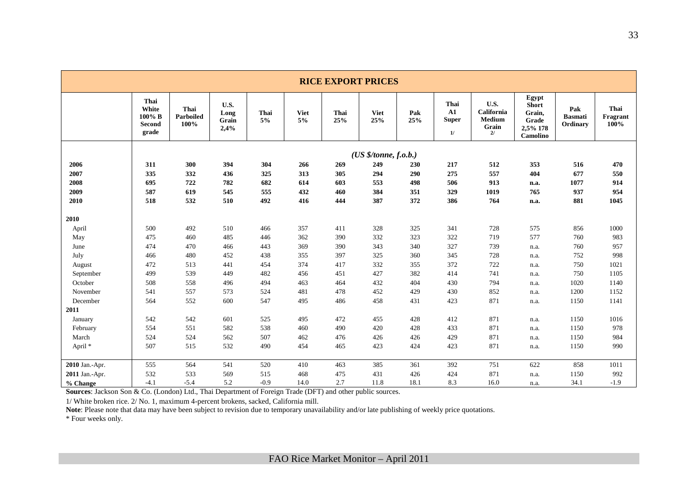|                    | <b>RICE EXPORT PRICES</b>                                                               |                           |                               |            |                   |             |                    |            |                                          |                                                    |                                                                  |                                   |                          |  |
|--------------------|-----------------------------------------------------------------------------------------|---------------------------|-------------------------------|------------|-------------------|-------------|--------------------|------------|------------------------------------------|----------------------------------------------------|------------------------------------------------------------------|-----------------------------------|--------------------------|--|
|                    | Thai<br>White<br>100% B<br><b>Second</b><br>grade                                       | Thai<br>Parboiled<br>100% | U.S.<br>Long<br>Grain<br>2,4% | Thai<br>5% | <b>Viet</b><br>5% | Thai<br>25% | <b>Viet</b><br>25% | Pak<br>25% | Thai<br>${\bf A1}$<br><b>Super</b><br>1/ | U.S.<br>California<br><b>Medium</b><br>Grain<br>2/ | Egypt<br><b>Short</b><br>Grain,<br>Grade<br>2,5% 178<br>Camolino | Pak<br><b>Basmati</b><br>Ordinary | Thai<br>Fragrant<br>100% |  |
|                    | (US \$/tonne, f.o.b.)                                                                   |                           |                               |            |                   |             |                    |            |                                          |                                                    |                                                                  |                                   |                          |  |
| 2006               | 304<br>470<br>311<br>300<br>394<br>266<br>269<br>249<br>217<br>512<br>353<br>516<br>230 |                           |                               |            |                   |             |                    |            |                                          |                                                    |                                                                  |                                   |                          |  |
| 2007               | 335                                                                                     | 332                       | 436                           | 325        | 313               | 305         | 294                | 290        | 275                                      | 557                                                | 404                                                              | 677                               | 550                      |  |
| 2008               | 695                                                                                     | 722                       | 782                           | 682        | 614               | 603         | 553                | 498        | 506                                      | 913                                                | n.a.                                                             | 1077                              | 914                      |  |
| 2009               | 587                                                                                     | 619                       | 545                           | 555        | 432               | 460         | 384                | 351        | 329                                      | 1019                                               | 765                                                              | 937                               | 954                      |  |
| 2010               | 518                                                                                     | 532                       | 510                           | 492        | 416               | 444         | 387                | 372        | 386                                      | 764                                                | n.a.                                                             | 881                               | 1045                     |  |
| 2010               |                                                                                         |                           |                               |            |                   |             |                    |            |                                          |                                                    |                                                                  |                                   |                          |  |
| April              | 500                                                                                     | 492                       | 510                           | 466        | 357               | 411         | 328                | 325        | 341                                      | 728                                                | 575                                                              | 856                               | 1000                     |  |
| May                | 475                                                                                     | 460                       | 485                           | 446        | 362               | 390         | 332                | 323        | 322                                      | 719                                                | 577                                                              | 760                               | 983                      |  |
| June               | 474                                                                                     | 470                       | 466                           | 443        | 369               | 390         | 343                | 340        | 327                                      | 739                                                | n.a.                                                             | 760                               | 957                      |  |
| July               | 466                                                                                     | 480                       | 452                           | 438        | 355               | 397         | 325                | 360        | 345                                      | 728                                                | n.a.                                                             | 752                               | 998                      |  |
| August             | 472                                                                                     | 513                       | 441                           | 454        | 374               | 417         | 332                | 355        | 372                                      | 722                                                | n.a.                                                             | 750                               | 1021                     |  |
| September          | 499                                                                                     | 539                       | 449                           | 482        | 456               | 451         | 427                | 382        | 414                                      | 741                                                | n.a.                                                             | 750                               | 1105                     |  |
| October            | 508                                                                                     | 558                       | 496                           | 494        | 463               | 464         | 432                | 404        | 430                                      | 794                                                | n.a.                                                             | 1020                              | 1140                     |  |
| November           | 541                                                                                     | 557                       | 573                           | 524        | 481               | 478         | 452                | 429        | 430                                      | 852                                                | n.a.                                                             | 1200                              | 1152                     |  |
| December           | 564                                                                                     | 552                       | 600                           | 547        | 495               | 486         | 458                | 431        | 423                                      | 871                                                | n.a.                                                             | 1150                              | 1141                     |  |
| 2011               |                                                                                         |                           |                               |            |                   |             |                    |            |                                          |                                                    |                                                                  |                                   |                          |  |
| January            | 542                                                                                     | 542                       | 601                           | 525        | 495               | 472         | 455                | 428        | 412                                      | 871                                                | n.a.                                                             | 1150                              | 1016                     |  |
| February           | 554                                                                                     | 551                       | 582                           | 538        | 460               | 490         | 420                | 428        | 433                                      | 871                                                | n.a.                                                             | 1150                              | 978                      |  |
| March              | 524                                                                                     | 524                       | 562                           | 507        | 462               | 476         | 426                | 426        | 429                                      | 871                                                | n.a.                                                             | 1150                              | 984                      |  |
| April <sup>*</sup> | 507                                                                                     | 515                       | 532                           | 490        | 454               | 465         | 423                | 424        | 423                                      | 871                                                | n.a.                                                             | 1150                              | 990                      |  |
| 2010 Jan.-Apr.     | 555                                                                                     | 564                       | 541                           | 520        | 410               | 463         | 385                | 361        | 392                                      | 751                                                | 622                                                              | 858                               | 1011                     |  |
| 2011 Jan.-Apr.     | 532                                                                                     | 533                       | 569                           | 515        | 468               | 475         | 431                | 426        | 424                                      | 871                                                | n.a.                                                             | 1150                              | 992                      |  |
| % Change           | $-4.1$                                                                                  | $-5.4$                    | 5.2                           | $-0.9$     | 14.0              | 2.7         | 11.8               | 18.1       | 8.3                                      | 16.0                                               | n.a.                                                             | 34.1                              | $-1.9$                   |  |

**Sources**: Jackson Son & Co. (London) Ltd., Thai Department of Foreign Trade (DFT) and other public sources.

1/ White broken rice. 2/ No. 1, maximum 4-percent brokens, sacked, California mill.

**Note**: Please note that data may have been subject to revision due to temporary unavailability and/or late publishing of weekly price quotations.

\* Four weeks only.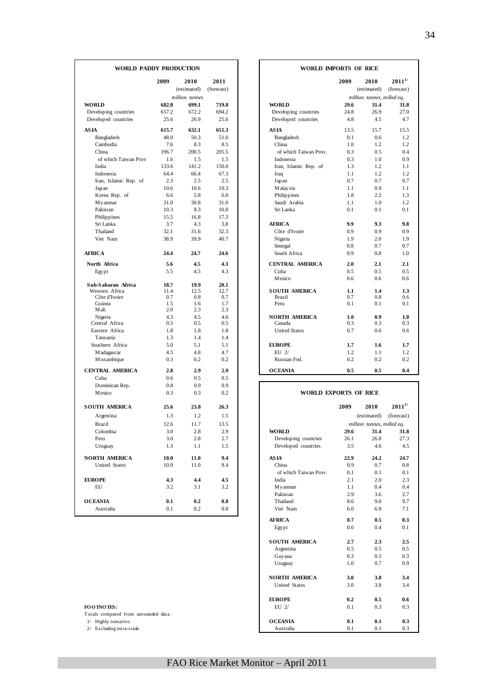| <b>WORLD</b><br>Developing countries<br>Developed countries<br><b>ASIA</b><br>Bangladesh<br>Cambodia<br>China<br>of which Taiwan Prov<br>India<br>Indonesia<br>Iran, Islamic Rep. of<br>Japan | 2009<br>682.8<br>657.2<br>25.6<br>615.7<br>48.0<br>7.6<br>196.7<br>1.6<br>133.6<br>64.4 | 2010<br>(estimated)<br>million tonnes<br>699.1<br>672.2<br>26.9<br>632.1<br>50.3<br>8.3<br>200.5<br>1.5 | 2011<br>(forecast)<br>719.8<br>694.2<br>25.6<br>651.3<br>51.0<br>8.5 | <b>WORLD</b><br>Developing countries<br>Developed countries<br>AS IA<br>Bangladesh | 2009<br>29.6<br>24.8<br>4.8<br>13.5<br>0.1 | 2010<br>(estimated)<br>million tonnes, milled eq.<br>31.4<br>26.9<br>4.5<br>15.7 | $2011^{1/2}$<br>(forecast)<br>31.8<br>27.0<br>4.7 |
|-----------------------------------------------------------------------------------------------------------------------------------------------------------------------------------------------|-----------------------------------------------------------------------------------------|---------------------------------------------------------------------------------------------------------|----------------------------------------------------------------------|------------------------------------------------------------------------------------|--------------------------------------------|----------------------------------------------------------------------------------|---------------------------------------------------|
|                                                                                                                                                                                               |                                                                                         |                                                                                                         |                                                                      |                                                                                    |                                            |                                                                                  |                                                   |
|                                                                                                                                                                                               |                                                                                         |                                                                                                         |                                                                      |                                                                                    |                                            |                                                                                  |                                                   |
|                                                                                                                                                                                               |                                                                                         |                                                                                                         |                                                                      |                                                                                    |                                            |                                                                                  |                                                   |
|                                                                                                                                                                                               |                                                                                         |                                                                                                         |                                                                      |                                                                                    |                                            |                                                                                  |                                                   |
|                                                                                                                                                                                               |                                                                                         |                                                                                                         |                                                                      |                                                                                    |                                            |                                                                                  |                                                   |
|                                                                                                                                                                                               |                                                                                         |                                                                                                         |                                                                      |                                                                                    |                                            |                                                                                  |                                                   |
|                                                                                                                                                                                               |                                                                                         |                                                                                                         |                                                                      |                                                                                    |                                            |                                                                                  | 15.5                                              |
|                                                                                                                                                                                               |                                                                                         |                                                                                                         |                                                                      |                                                                                    |                                            | 0.6                                                                              | 1.2                                               |
|                                                                                                                                                                                               |                                                                                         |                                                                                                         |                                                                      | China                                                                              | 1.0                                        | 1.2                                                                              | 1.2                                               |
|                                                                                                                                                                                               |                                                                                         |                                                                                                         | 205.5                                                                | of which Taiwan Prov.                                                              | 0.3                                        | 0.5                                                                              | 0.4                                               |
|                                                                                                                                                                                               |                                                                                         |                                                                                                         | 1.5                                                                  | Indonesia                                                                          | 0.3                                        | 1.0                                                                              | 0.9                                               |
|                                                                                                                                                                                               |                                                                                         | 141.2                                                                                                   | 150.0                                                                | Iran, Islamic Rep. of                                                              | 1.3                                        | 1.2                                                                              | 1.1                                               |
|                                                                                                                                                                                               |                                                                                         | 66.4                                                                                                    | 67.3                                                                 | Iraq                                                                               | 1.1                                        | 1.2                                                                              | 1.2                                               |
|                                                                                                                                                                                               | 2.3                                                                                     | 2.5                                                                                                     | 2.5                                                                  | Japan                                                                              | 0.7                                        | 0.7                                                                              | 0.7                                               |
|                                                                                                                                                                                               | 10.6                                                                                    | 10.6                                                                                                    | 10.3                                                                 | Malay sia                                                                          | 1.1                                        | 0.9                                                                              | 1.1                                               |
| Korea Rep. of                                                                                                                                                                                 | 6.6                                                                                     | 5.8                                                                                                     | 6.0                                                                  | Philippines                                                                        | 1.8                                        | 2.2                                                                              | 1.3                                               |
| M <sub>y</sub> anmar                                                                                                                                                                          | 31.0                                                                                    | 30.8                                                                                                    | 31.0                                                                 | Saudi Arabia                                                                       | 1.1                                        | 1.0                                                                              | 1.2                                               |
| Pakistan                                                                                                                                                                                      | 10.3                                                                                    | 8.3                                                                                                     | 10.0                                                                 | Sri Lanka                                                                          | 0.1                                        | 0.1                                                                              | 0.1                                               |
| Philippines                                                                                                                                                                                   | 15.5                                                                                    | 16.8                                                                                                    | 17.3                                                                 |                                                                                    |                                            |                                                                                  |                                                   |
| Sri Lanka                                                                                                                                                                                     | 3.7                                                                                     | 4.3                                                                                                     | 3.8                                                                  | <b>AFRICA</b>                                                                      | 9.9                                        | 9.3                                                                              | 9.8                                               |
| Thailand                                                                                                                                                                                      | 32.1                                                                                    | 31.6                                                                                                    | 32.3                                                                 | Côte d'Ivoire                                                                      | 0.9                                        | 0.9                                                                              | 0.9                                               |
| Viet Nam                                                                                                                                                                                      | 38.9                                                                                    | 39.9                                                                                                    | 40.7                                                                 | Nigeria                                                                            | 1.9                                        | 2.0                                                                              | 1.9                                               |
|                                                                                                                                                                                               |                                                                                         |                                                                                                         |                                                                      | Senegal                                                                            | 0.8                                        | 0.7                                                                              | 0.7                                               |
| <b>AFRICA</b>                                                                                                                                                                                 | 24.4                                                                                    | 24.7                                                                                                    | 24.6                                                                 | South Africa                                                                       | 0.9                                        | 0.8                                                                              | 1.0                                               |
| North Africa                                                                                                                                                                                  | 5.6                                                                                     | 4.5                                                                                                     | 4.3                                                                  | <b>CENTRAL AMERICA</b>                                                             | 2.0                                        | 2.1                                                                              | 2.1                                               |
| Egypt                                                                                                                                                                                         | 5.5                                                                                     | 4.5                                                                                                     | 4.3                                                                  | Cuba                                                                               | 0.5                                        | 0.5                                                                              | 0.5                                               |
|                                                                                                                                                                                               |                                                                                         |                                                                                                         |                                                                      | Mexico                                                                             | 0.6                                        | 0.6                                                                              | 0.6                                               |
| Sub-Saharan Africa                                                                                                                                                                            | 18.7                                                                                    | 19.9                                                                                                    | 20.1                                                                 |                                                                                    |                                            |                                                                                  |                                                   |
| Western Africa<br>Côte d'Ivoire                                                                                                                                                               | 11.4<br>0.7                                                                             | 12.5<br>0.8                                                                                             | 12.7<br>0.7                                                          | <b>SOUTH AMERICA</b><br>Brazil                                                     | 1.1<br>0.7                                 | 1.4<br>0.8                                                                       | 1.3<br>0.6                                        |
| Guinea                                                                                                                                                                                        | 1.5                                                                                     | 1.6                                                                                                     | 1.7                                                                  | Peru                                                                               | 0.1                                        | 0.1                                                                              | 0.1                                               |
| Mali                                                                                                                                                                                          | 2.0                                                                                     | 2.3                                                                                                     | 2.3                                                                  |                                                                                    |                                            |                                                                                  |                                                   |
| Nigeria                                                                                                                                                                                       | 4.3                                                                                     | 4.5                                                                                                     | 4.6                                                                  | <b>NORTH AMERICA</b>                                                               | 1.0                                        | 0.9                                                                              | 1.0                                               |
| Central Africa                                                                                                                                                                                | 0.5                                                                                     | 0.5                                                                                                     | 0.5                                                                  | Canada                                                                             | 0.3                                        | 0.3                                                                              | 0.3                                               |
| Eastern Africa                                                                                                                                                                                | 1.8                                                                                     | 1.8                                                                                                     | 1.8                                                                  | <b>United States</b>                                                               | 0.7                                        | 0.6                                                                              | 0.6                                               |
| Tanzania                                                                                                                                                                                      | 1.3                                                                                     | 1.4                                                                                                     | 1.4                                                                  |                                                                                    |                                            |                                                                                  |                                                   |
| Southern Africa                                                                                                                                                                               | 5.0                                                                                     | 5.1                                                                                                     | 5.1                                                                  | <b>EUROPE</b>                                                                      | 1.7                                        | 1.6                                                                              | 1.7                                               |
| M adagascar                                                                                                                                                                                   | 4.5                                                                                     | 4.8                                                                                                     | 4.7                                                                  | $EU$ 2/                                                                            | 1.2                                        | 1.1                                                                              | 1.2                                               |
| M ozambique                                                                                                                                                                                   | 0.3                                                                                     | 0.2                                                                                                     | 0.2                                                                  | Russian Fed.                                                                       | 0.2                                        | 0.2                                                                              | 0.2                                               |
| <b>CENTRAL AMERICA</b>                                                                                                                                                                        | 2.8                                                                                     | 2.9                                                                                                     | 2.9                                                                  | <b>OCEANIA</b>                                                                     | 0.5                                        | 0.5                                                                              | 0.4                                               |
| Cuba                                                                                                                                                                                          | 0.6                                                                                     | 0.5                                                                                                     | 0.5                                                                  |                                                                                    |                                            |                                                                                  |                                                   |
| Dominican Rep.                                                                                                                                                                                | 0.8                                                                                     | 0.9                                                                                                     | 0.9                                                                  |                                                                                    |                                            |                                                                                  |                                                   |
| Mexico                                                                                                                                                                                        | 0.3                                                                                     | 0.3                                                                                                     | 0.2                                                                  | WORLD EXPORTS OF RICE                                                              |                                            |                                                                                  |                                                   |
| <b>SOUTH AMERICA</b>                                                                                                                                                                          | 25.6                                                                                    | 23.8                                                                                                    | 26.3                                                                 |                                                                                    | 2009                                       | 2010                                                                             | $2011^{1/2}$                                      |
|                                                                                                                                                                                               | 1.3                                                                                     | 1.2                                                                                                     | 1.5                                                                  |                                                                                    |                                            | (estimated)                                                                      | (forecast)                                        |
| Argentina                                                                                                                                                                                     |                                                                                         |                                                                                                         |                                                                      |                                                                                    |                                            |                                                                                  |                                                   |
| Brazil                                                                                                                                                                                        | 12.6                                                                                    | 11.7                                                                                                    | 13.5                                                                 |                                                                                    |                                            | million tonnes, milled eq.                                                       |                                                   |
| Colombia                                                                                                                                                                                      | 3.0                                                                                     | 2.8                                                                                                     | 2.9                                                                  | <b>WORLD</b>                                                                       | 29.6                                       | 31.4                                                                             | 31.8                                              |
| Peru                                                                                                                                                                                          | 3.0                                                                                     | 2.8                                                                                                     | 2.7                                                                  | Developing countries                                                               | 26.1                                       | 26.8                                                                             | 27.3                                              |
| Uruguay                                                                                                                                                                                       | 1.3                                                                                     | 1.1                                                                                                     | 1.5                                                                  | Developed countries                                                                | 3.5                                        | 4.6                                                                              | 4.5                                               |
| <b>NORTH AMERICA</b>                                                                                                                                                                          | 10.0                                                                                    | 11.0                                                                                                    | 9.4                                                                  | <b>ASIA</b>                                                                        | 22.9                                       | 24.2                                                                             | 24.7                                              |
| United States                                                                                                                                                                                 | 10.0                                                                                    | 11.0                                                                                                    | 9.4                                                                  | China                                                                              | 0.9                                        | 0.7                                                                              | 0.8                                               |
|                                                                                                                                                                                               |                                                                                         |                                                                                                         |                                                                      | of which Taiwan Prov.                                                              | 0.1                                        | 0.1                                                                              | 0.1                                               |
| <b>EUROPE</b>                                                                                                                                                                                 | 4.3                                                                                     | 4.4                                                                                                     | 4.5                                                                  | India                                                                              | 2.1                                        | 2.0                                                                              | 2.3                                               |
| EU                                                                                                                                                                                            | 3.2                                                                                     | 3.1                                                                                                     | 3.2                                                                  | My anmar                                                                           | $1.1\,$                                    | 0.4                                                                              | 0.4                                               |
|                                                                                                                                                                                               |                                                                                         |                                                                                                         |                                                                      | Pakistan                                                                           | 2.9                                        | 3.6                                                                              | 2.7                                               |
| <b>OCEANIA</b>                                                                                                                                                                                | 0.1                                                                                     | 0.2                                                                                                     | 0.8                                                                  | Thailand                                                                           | 8.6                                        | 9.0                                                                              | 9.7                                               |
| Australia                                                                                                                                                                                     | 0.1                                                                                     | 0.2                                                                                                     | 0.8                                                                  | Viet Nam                                                                           | 6.0                                        | 6.9                                                                              | 7.1                                               |

| FO O TNO TES: |  |  |  |
|---------------|--|--|--|
|               |  |  |  |

| 2010<br>(estimated)<br>million tonnes<br>699.1<br>672.2<br>26.9<br>632.1<br>50.3<br>8.3<br>200.5<br>1.5<br>141.2<br>66.4<br>2.5<br>10.6<br>5.8<br>30.8<br>8.3<br>16.8<br>4.3<br>31.6<br>39.9 | 2011<br>(forecast) |                        | 2009 |                            |              |
|----------------------------------------------------------------------------------------------------------------------------------------------------------------------------------------------|--------------------|------------------------|------|----------------------------|--------------|
|                                                                                                                                                                                              |                    |                        |      | 2010                       | $2011^{1/2}$ |
|                                                                                                                                                                                              |                    |                        |      | (estimated)                | (forecast)   |
|                                                                                                                                                                                              |                    |                        |      | million tonnes, milled eq. |              |
|                                                                                                                                                                                              | 719.8              | <b>WORLD</b>           | 29.6 | 31.4                       | 31.8         |
|                                                                                                                                                                                              | 694.2              | Developing countries   | 24.8 | 26.9                       | 27.0         |
|                                                                                                                                                                                              | 25.6               | Developed countries    | 4.8  | 4.5                        | 4.7          |
|                                                                                                                                                                                              | 651.3              | <b>ASIA</b>            | 13.5 | 15.7                       | 15.5         |
|                                                                                                                                                                                              | 51.0               | Bangladesh             | 0.1  | 0.6                        | 1.2          |
|                                                                                                                                                                                              | 8.5                | China                  | 1.0  | 1.2                        | 1.2          |
|                                                                                                                                                                                              | 205.5              | of which Taiwan Prov.  | 0.3  | 0.5                        | 0.4          |
|                                                                                                                                                                                              | 1.5                | Indonesia              | 0.3  | 1.0                        | 0.9          |
|                                                                                                                                                                                              | 150.0              | Iran, Islamic Rep. of  | 1.3  | 1.2                        | 1.1          |
|                                                                                                                                                                                              | 67.3               | Iraq                   | 1.1  | 1.2                        | 1.2          |
|                                                                                                                                                                                              | 2.5                | Japan                  | 0.7  | 0.7                        | 0.7          |
|                                                                                                                                                                                              | 10.3               | Malaysia               | 1.1  | 0.9                        | 1.1          |
|                                                                                                                                                                                              | 6.0                | Philippines            | 1.8  | 2.2                        | 1.3          |
|                                                                                                                                                                                              | 31.0               | Saudi Arabia           | 1.1  | 1.0                        | 1.2          |
|                                                                                                                                                                                              | 10.0               | Sri Lanka              | 0.1  | 0.1                        | 0.1          |
|                                                                                                                                                                                              | 17.3               |                        |      |                            |              |
|                                                                                                                                                                                              | 3.8                | <b>AFRICA</b>          | 9.9  | 9.3                        | 9.8          |
|                                                                                                                                                                                              | 32.3               | Côte d'Ivoire          | 0.9  | 0.9                        | 0.9          |
|                                                                                                                                                                                              | 40.7               | Nigeria                | 1.9  | 2.0                        | 1.9          |
|                                                                                                                                                                                              |                    | Senegal                | 0.8  | 0.7                        | 0.7          |
|                                                                                                                                                                                              | 24.6               | South Africa           | 0.9  | 0.8                        | 1.0          |
| 4.5                                                                                                                                                                                          | 4.3                | <b>CENTRAL AMERICA</b> | 2.0  | 2.1                        | 2.1          |
| 4.5                                                                                                                                                                                          | 4.3                | Cuba                   | 0.5  | 0.5                        | 0.5          |
|                                                                                                                                                                                              |                    | Mexico                 | 0.6  | 0.6                        | 0.6          |
| 19.9                                                                                                                                                                                         | 20.1               |                        |      |                            |              |
| 12.5                                                                                                                                                                                         | 12.7               | <b>SOUTH AMERICA</b>   | 1.1  | 1.4                        | 1.3          |
| 0.8                                                                                                                                                                                          | 0.7                | Brazil                 | 0.7  | 0.8                        | 0.6          |
| 1.6<br>2.3                                                                                                                                                                                   | 1.7<br>2.3         | Peru                   | 0.1  | 0.1                        | 0.1          |
| 4.5                                                                                                                                                                                          | 4.6                | <b>NORTH AMERICA</b>   | 1.0  | 0.9                        | 1.0          |
| 0.5                                                                                                                                                                                          | 0.5                | Canada                 | 0.3  | 0.3                        | 0.3          |
| 1.8                                                                                                                                                                                          | 1.8                | <b>United States</b>   | 0.7  | 0.6                        | 0.6          |
| 1.4                                                                                                                                                                                          | 1.4                |                        |      |                            |              |
| 5.1                                                                                                                                                                                          | 5.1                | <b>EUROPE</b>          | 1.7  | 1.6                        | 1.7          |
| 4.8                                                                                                                                                                                          | 4.7                | $EU$ 2/                | 1.2  | 1.1                        | 1.2          |
| 0.2                                                                                                                                                                                          | 0.2                | Russian Fed.           | 0.2  | 0.2                        | 0.2          |
| 2.9                                                                                                                                                                                          | 2.9                | <b>OCEANIA</b>         | 0.5  | 0.5                        | 0.4          |
| 0.5                                                                                                                                                                                          | 0.5                |                        |      |                            |              |

| Mexico                               | 0.3  | 0.3  | 0.2  | <b>WORLD EXPORTS OF RICE</b> |      |                            |
|--------------------------------------|------|------|------|------------------------------|------|----------------------------|
| <b>SOUTH AMERICA</b>                 | 25.6 | 23.8 | 26.3 |                              | 2009 | 2010                       |
| Argentina                            | 1.3  | 1.2  | 1.5  |                              |      | (estimated)                |
| Brazil                               | 12.6 | 11.7 | 13.5 |                              |      | million tonnes, milled eq. |
| Colombia                             | 3.0  | 2.8  | 2.9  | <b>WORLD</b>                 | 29.6 | 31.4                       |
| Peru                                 | 3.0  | 2.8  | 2.7  | Developing countries         | 26.1 | 26.8                       |
| Uruguay                              | 1.3  | 1.1  | 1.5  | Developed countries          | 3.5  | 4.6                        |
| <b>NORTH AMERICA</b>                 | 10.0 | 11.0 | 9.4  | <b>ASIA</b>                  | 22.9 | 24.2                       |
| <b>United States</b>                 | 10.0 | 11.0 | 9.4  | China                        | 0.9  | 0.7                        |
|                                      |      |      |      | of which Taiwan Prov.        | 0.1  | 0.1                        |
| <b>EUROPE</b>                        | 4.3  | 4.4  | 4.5  | India                        | 2.1  | 2.0                        |
| EU                                   | 3.2  | 3.1  | 3.2  | My anmar                     | 1.1  | 0.4                        |
|                                      |      |      |      | Pakistan                     | 2.9  | 3.6                        |
| <b>OCEANIA</b>                       | 0.1  | 0.2  | 0.8  | Thailand                     | 8.6  | 9.0                        |
| Australia                            | 0.1  | 0.2  | 0.8  | Viet Nam                     | 6.0  | 6.9                        |
|                                      |      |      |      | <b>AFRICA</b>                | 0.7  | 0.5                        |
|                                      |      |      |      | Egypt                        | 0.6  | 0.4                        |
|                                      |      |      |      | <b>SOUTH AMERICA</b>         | 2.7  | 2.3                        |
|                                      |      |      |      | Argentina                    | 0.5  | 0.5                        |
|                                      |      |      |      | Guyana                       | 0.3  | 0.3                        |
|                                      |      |      |      | Uruguay                      | 1.0  | 0.7                        |
|                                      |      |      |      | <b>NORTH AMERICA</b>         | 3.0  | 3.8                        |
|                                      |      |      |      | United States                | 3.0  | 3.8                        |
|                                      |      |      |      | <b>EUROPE</b>                | 0.2  | 0.5                        |
| FOO TNO TES:                         |      |      |      | $EU$ $2/$                    | 0.1  | 0.3                        |
| Totals computed from unrounded data. |      |      |      |                              |      |                            |
| 1/ Highly tentative.                 |      |      |      | <b>OCEANIA</b>               | 0.1  | 0.1                        |
| 2/ Excluding intra-trade.            |      |      |      | Australia                    | 0.1  | 0.1                        |